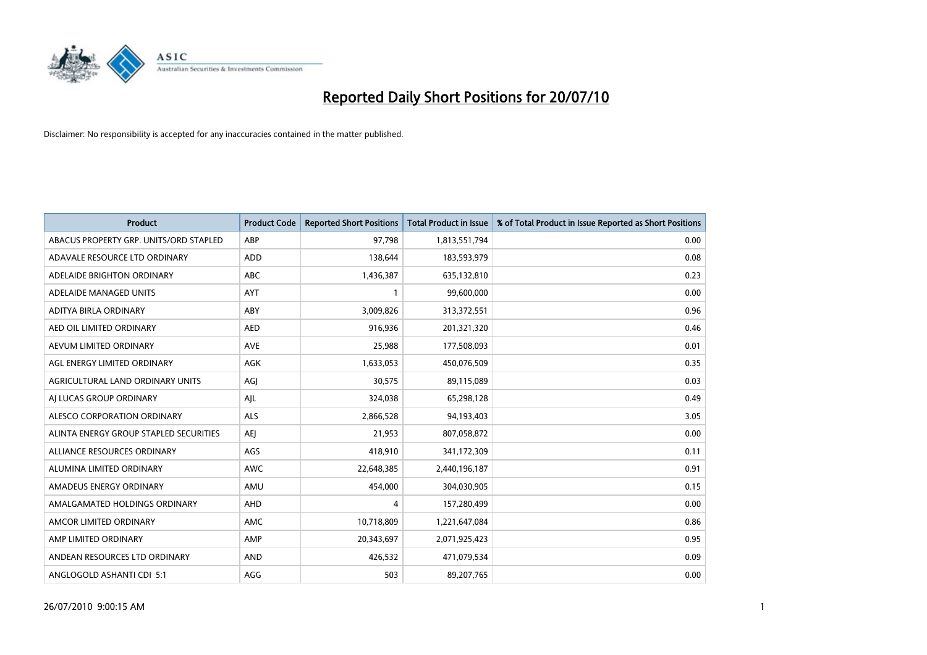

| <b>Product</b>                         | <b>Product Code</b> | <b>Reported Short Positions</b> | <b>Total Product in Issue</b> | % of Total Product in Issue Reported as Short Positions |
|----------------------------------------|---------------------|---------------------------------|-------------------------------|---------------------------------------------------------|
| ABACUS PROPERTY GRP. UNITS/ORD STAPLED | ABP                 | 97,798                          | 1,813,551,794                 | 0.00                                                    |
| ADAVALE RESOURCE LTD ORDINARY          | ADD                 | 138.644                         | 183,593,979                   | 0.08                                                    |
| ADELAIDE BRIGHTON ORDINARY             | <b>ABC</b>          | 1,436,387                       | 635,132,810                   | 0.23                                                    |
| ADELAIDE MANAGED UNITS                 | <b>AYT</b>          |                                 | 99,600,000                    | 0.00                                                    |
| ADITYA BIRLA ORDINARY                  | ABY                 | 3,009,826                       | 313,372,551                   | 0.96                                                    |
| AED OIL LIMITED ORDINARY               | <b>AED</b>          | 916,936                         | 201,321,320                   | 0.46                                                    |
| AEVUM LIMITED ORDINARY                 | <b>AVE</b>          | 25,988                          | 177,508,093                   | 0.01                                                    |
| AGL ENERGY LIMITED ORDINARY            | <b>AGK</b>          | 1,633,053                       | 450,076,509                   | 0.35                                                    |
| AGRICULTURAL LAND ORDINARY UNITS       | AGJ                 | 30,575                          | 89,115,089                    | 0.03                                                    |
| AI LUCAS GROUP ORDINARY                | AJL                 | 324,038                         | 65,298,128                    | 0.49                                                    |
| ALESCO CORPORATION ORDINARY            | <b>ALS</b>          | 2,866,528                       | 94,193,403                    | 3.05                                                    |
| ALINTA ENERGY GROUP STAPLED SECURITIES | <b>AEJ</b>          | 21,953                          | 807,058,872                   | 0.00                                                    |
| ALLIANCE RESOURCES ORDINARY            | AGS                 | 418,910                         | 341,172,309                   | 0.11                                                    |
| ALUMINA LIMITED ORDINARY               | <b>AWC</b>          | 22,648,385                      | 2,440,196,187                 | 0.91                                                    |
| AMADEUS ENERGY ORDINARY                | AMU                 | 454,000                         | 304,030,905                   | 0.15                                                    |
| AMALGAMATED HOLDINGS ORDINARY          | AHD                 | 4                               | 157,280,499                   | 0.00                                                    |
| AMCOR LIMITED ORDINARY                 | AMC                 | 10,718,809                      | 1,221,647,084                 | 0.86                                                    |
| AMP LIMITED ORDINARY                   | AMP                 | 20,343,697                      | 2,071,925,423                 | 0.95                                                    |
| ANDEAN RESOURCES LTD ORDINARY          | <b>AND</b>          | 426,532                         | 471,079,534                   | 0.09                                                    |
| ANGLOGOLD ASHANTI CDI 5:1              | AGG                 | 503                             | 89,207,765                    | 0.00                                                    |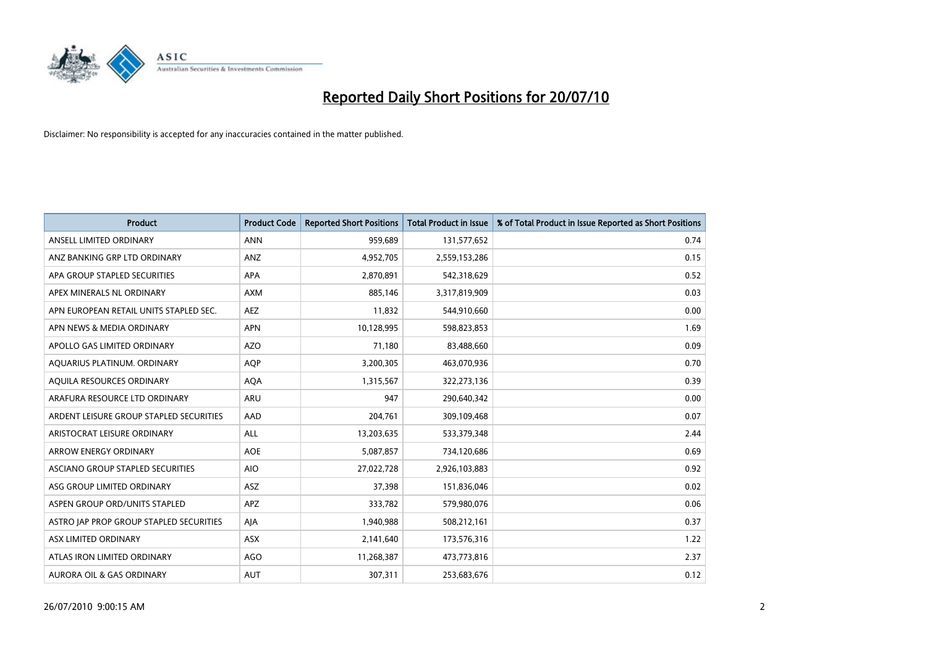

| <b>Product</b>                          | <b>Product Code</b> | <b>Reported Short Positions</b> | Total Product in Issue | % of Total Product in Issue Reported as Short Positions |
|-----------------------------------------|---------------------|---------------------------------|------------------------|---------------------------------------------------------|
| ANSELL LIMITED ORDINARY                 | <b>ANN</b>          | 959,689                         | 131,577,652            | 0.74                                                    |
| ANZ BANKING GRP LTD ORDINARY            | ANZ                 | 4,952,705                       | 2,559,153,286          | 0.15                                                    |
| APA GROUP STAPLED SECURITIES            | <b>APA</b>          | 2,870,891                       | 542,318,629            | 0.52                                                    |
| APEX MINERALS NL ORDINARY               | <b>AXM</b>          | 885,146                         | 3,317,819,909          | 0.03                                                    |
| APN EUROPEAN RETAIL UNITS STAPLED SEC.  | <b>AEZ</b>          | 11,832                          | 544,910,660            | 0.00                                                    |
| APN NEWS & MEDIA ORDINARY               | <b>APN</b>          | 10,128,995                      | 598,823,853            | 1.69                                                    |
| APOLLO GAS LIMITED ORDINARY             | <b>AZO</b>          | 71,180                          | 83,488,660             | 0.09                                                    |
| AQUARIUS PLATINUM. ORDINARY             | <b>AOP</b>          | 3,200,305                       | 463,070,936            | 0.70                                                    |
| AQUILA RESOURCES ORDINARY               | <b>AQA</b>          | 1,315,567                       | 322,273,136            | 0.39                                                    |
| ARAFURA RESOURCE LTD ORDINARY           | <b>ARU</b>          | 947                             | 290,640,342            | 0.00                                                    |
| ARDENT LEISURE GROUP STAPLED SECURITIES | AAD                 | 204,761                         | 309,109,468            | 0.07                                                    |
| ARISTOCRAT LEISURE ORDINARY             | ALL                 | 13,203,635                      | 533,379,348            | 2.44                                                    |
| <b>ARROW ENERGY ORDINARY</b>            | <b>AOE</b>          | 5,087,857                       | 734,120,686            | 0.69                                                    |
| ASCIANO GROUP STAPLED SECURITIES        | <b>AIO</b>          | 27,022,728                      | 2,926,103,883          | 0.92                                                    |
| ASG GROUP LIMITED ORDINARY              | <b>ASZ</b>          | 37,398                          | 151,836,046            | 0.02                                                    |
| ASPEN GROUP ORD/UNITS STAPLED           | <b>APZ</b>          | 333,782                         | 579,980,076            | 0.06                                                    |
| ASTRO JAP PROP GROUP STAPLED SECURITIES | AJA                 | 1,940,988                       | 508,212,161            | 0.37                                                    |
| ASX LIMITED ORDINARY                    | <b>ASX</b>          | 2,141,640                       | 173,576,316            | 1.22                                                    |
| ATLAS IRON LIMITED ORDINARY             | <b>AGO</b>          | 11,268,387                      | 473,773,816            | 2.37                                                    |
| <b>AURORA OIL &amp; GAS ORDINARY</b>    | <b>AUT</b>          | 307,311                         | 253,683,676            | 0.12                                                    |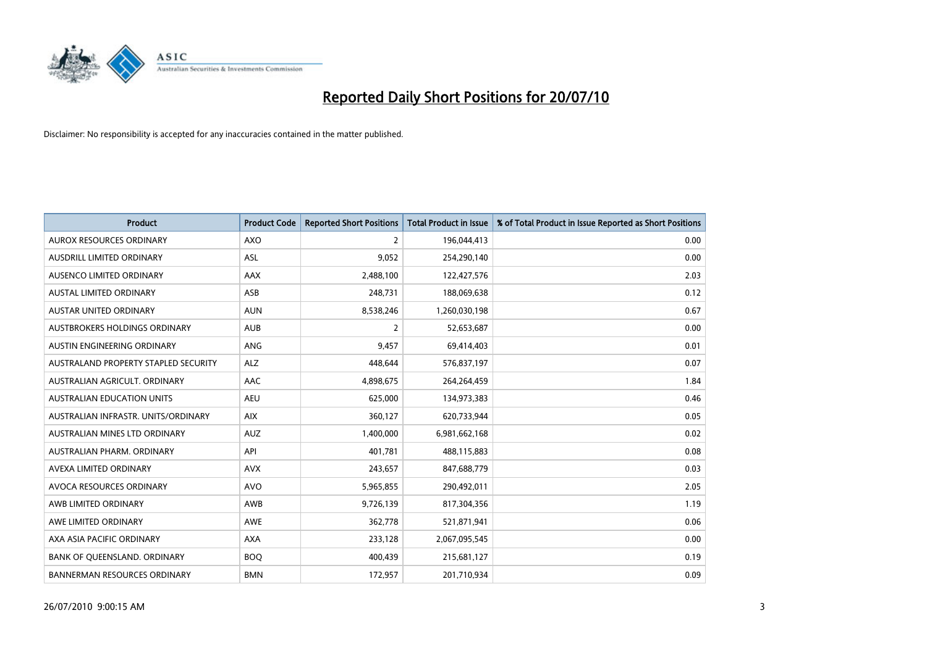

| <b>Product</b>                       | <b>Product Code</b> | <b>Reported Short Positions</b> | <b>Total Product in Issue</b> | % of Total Product in Issue Reported as Short Positions |
|--------------------------------------|---------------------|---------------------------------|-------------------------------|---------------------------------------------------------|
| <b>AUROX RESOURCES ORDINARY</b>      | AXO                 | 2                               | 196,044,413                   | 0.00                                                    |
| AUSDRILL LIMITED ORDINARY            | ASL                 | 9,052                           | 254,290,140                   | 0.00                                                    |
| <b>AUSENCO LIMITED ORDINARY</b>      | AAX                 | 2,488,100                       | 122,427,576                   | 2.03                                                    |
| AUSTAL LIMITED ORDINARY              | ASB                 | 248,731                         | 188,069,638                   | 0.12                                                    |
| <b>AUSTAR UNITED ORDINARY</b>        | <b>AUN</b>          | 8,538,246                       | 1,260,030,198                 | 0.67                                                    |
| <b>AUSTBROKERS HOLDINGS ORDINARY</b> | <b>AUB</b>          | $\overline{2}$                  | 52,653,687                    | 0.00                                                    |
| AUSTIN ENGINEERING ORDINARY          | ANG                 | 9,457                           | 69,414,403                    | 0.01                                                    |
| AUSTRALAND PROPERTY STAPLED SECURITY | <b>ALZ</b>          | 448,644                         | 576,837,197                   | 0.07                                                    |
| AUSTRALIAN AGRICULT, ORDINARY        | <b>AAC</b>          | 4,898,675                       | 264,264,459                   | 1.84                                                    |
| <b>AUSTRALIAN EDUCATION UNITS</b>    | <b>AEU</b>          | 625,000                         | 134,973,383                   | 0.46                                                    |
| AUSTRALIAN INFRASTR. UNITS/ORDINARY  | <b>AIX</b>          | 360,127                         | 620,733,944                   | 0.05                                                    |
| AUSTRALIAN MINES LTD ORDINARY        | <b>AUZ</b>          | 1,400,000                       | 6,981,662,168                 | 0.02                                                    |
| AUSTRALIAN PHARM. ORDINARY           | API                 | 401,781                         | 488,115,883                   | 0.08                                                    |
| AVEXA LIMITED ORDINARY               | <b>AVX</b>          | 243,657                         | 847,688,779                   | 0.03                                                    |
| AVOCA RESOURCES ORDINARY             | <b>AVO</b>          | 5,965,855                       | 290,492,011                   | 2.05                                                    |
| AWB LIMITED ORDINARY                 | AWB                 | 9,726,139                       | 817,304,356                   | 1.19                                                    |
| AWE LIMITED ORDINARY                 | AWE                 | 362,778                         | 521,871,941                   | 0.06                                                    |
| AXA ASIA PACIFIC ORDINARY            | <b>AXA</b>          | 233,128                         | 2,067,095,545                 | 0.00                                                    |
| BANK OF QUEENSLAND. ORDINARY         | <b>BOO</b>          | 400,439                         | 215,681,127                   | 0.19                                                    |
| <b>BANNERMAN RESOURCES ORDINARY</b>  | <b>BMN</b>          | 172,957                         | 201,710,934                   | 0.09                                                    |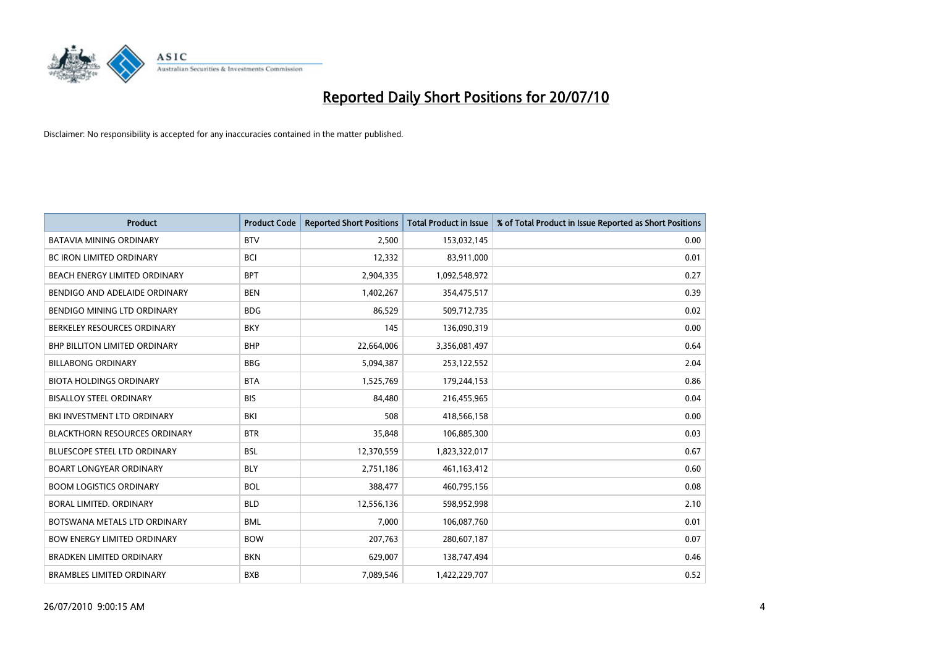

| <b>Product</b>                       | <b>Product Code</b> | <b>Reported Short Positions</b> | <b>Total Product in Issue</b> | % of Total Product in Issue Reported as Short Positions |
|--------------------------------------|---------------------|---------------------------------|-------------------------------|---------------------------------------------------------|
| <b>BATAVIA MINING ORDINARY</b>       | <b>BTV</b>          | 2,500                           | 153,032,145                   | 0.00                                                    |
| <b>BC IRON LIMITED ORDINARY</b>      | <b>BCI</b>          | 12,332                          | 83,911,000                    | 0.01                                                    |
| BEACH ENERGY LIMITED ORDINARY        | <b>BPT</b>          | 2,904,335                       | 1,092,548,972                 | 0.27                                                    |
| BENDIGO AND ADELAIDE ORDINARY        | <b>BEN</b>          | 1,402,267                       | 354,475,517                   | 0.39                                                    |
| BENDIGO MINING LTD ORDINARY          | <b>BDG</b>          | 86,529                          | 509,712,735                   | 0.02                                                    |
| BERKELEY RESOURCES ORDINARY          | <b>BKY</b>          | 145                             | 136,090,319                   | 0.00                                                    |
| <b>BHP BILLITON LIMITED ORDINARY</b> | <b>BHP</b>          | 22,664,006                      | 3,356,081,497                 | 0.64                                                    |
| <b>BILLABONG ORDINARY</b>            | <b>BBG</b>          | 5,094,387                       | 253,122,552                   | 2.04                                                    |
| <b>BIOTA HOLDINGS ORDINARY</b>       | <b>BTA</b>          | 1,525,769                       | 179,244,153                   | 0.86                                                    |
| <b>BISALLOY STEEL ORDINARY</b>       | <b>BIS</b>          | 84,480                          | 216,455,965                   | 0.04                                                    |
| BKI INVESTMENT LTD ORDINARY          | <b>BKI</b>          | 508                             | 418,566,158                   | 0.00                                                    |
| <b>BLACKTHORN RESOURCES ORDINARY</b> | <b>BTR</b>          | 35,848                          | 106,885,300                   | 0.03                                                    |
| <b>BLUESCOPE STEEL LTD ORDINARY</b>  | <b>BSL</b>          | 12,370,559                      | 1,823,322,017                 | 0.67                                                    |
| <b>BOART LONGYEAR ORDINARY</b>       | <b>BLY</b>          | 2,751,186                       | 461,163,412                   | 0.60                                                    |
| <b>BOOM LOGISTICS ORDINARY</b>       | <b>BOL</b>          | 388,477                         | 460,795,156                   | 0.08                                                    |
| <b>BORAL LIMITED, ORDINARY</b>       | <b>BLD</b>          | 12,556,136                      | 598,952,998                   | 2.10                                                    |
| BOTSWANA METALS LTD ORDINARY         | <b>BML</b>          | 7,000                           | 106,087,760                   | 0.01                                                    |
| <b>BOW ENERGY LIMITED ORDINARY</b>   | <b>BOW</b>          | 207,763                         | 280,607,187                   | 0.07                                                    |
| <b>BRADKEN LIMITED ORDINARY</b>      | <b>BKN</b>          | 629,007                         | 138,747,494                   | 0.46                                                    |
| <b>BRAMBLES LIMITED ORDINARY</b>     | <b>BXB</b>          | 7,089,546                       | 1,422,229,707                 | 0.52                                                    |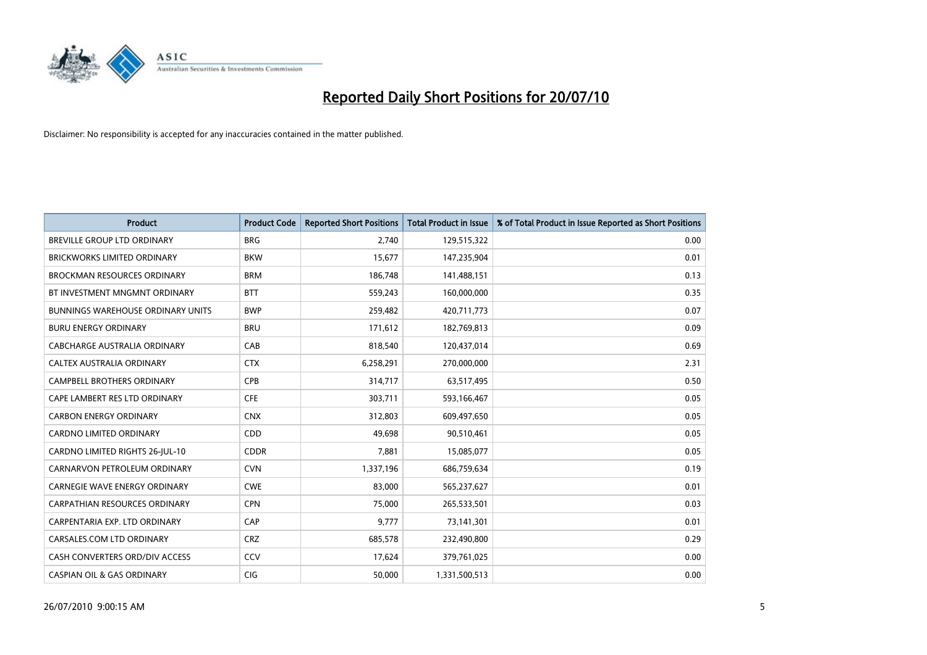

| <b>Product</b>                           | <b>Product Code</b> | <b>Reported Short Positions</b> | <b>Total Product in Issue</b> | % of Total Product in Issue Reported as Short Positions |
|------------------------------------------|---------------------|---------------------------------|-------------------------------|---------------------------------------------------------|
| <b>BREVILLE GROUP LTD ORDINARY</b>       | <b>BRG</b>          | 2,740                           | 129,515,322                   | 0.00                                                    |
| <b>BRICKWORKS LIMITED ORDINARY</b>       | <b>BKW</b>          | 15,677                          | 147,235,904                   | 0.01                                                    |
| <b>BROCKMAN RESOURCES ORDINARY</b>       | <b>BRM</b>          | 186,748                         | 141,488,151                   | 0.13                                                    |
| BT INVESTMENT MNGMNT ORDINARY            | <b>BTT</b>          | 559,243                         | 160,000,000                   | 0.35                                                    |
| <b>BUNNINGS WAREHOUSE ORDINARY UNITS</b> | <b>BWP</b>          | 259,482                         | 420,711,773                   | 0.07                                                    |
| <b>BURU ENERGY ORDINARY</b>              | <b>BRU</b>          | 171,612                         | 182,769,813                   | 0.09                                                    |
| CABCHARGE AUSTRALIA ORDINARY             | CAB                 | 818,540                         | 120,437,014                   | 0.69                                                    |
| CALTEX AUSTRALIA ORDINARY                | <b>CTX</b>          | 6,258,291                       | 270,000,000                   | 2.31                                                    |
| <b>CAMPBELL BROTHERS ORDINARY</b>        | <b>CPB</b>          | 314,717                         | 63,517,495                    | 0.50                                                    |
| CAPE LAMBERT RES LTD ORDINARY            | <b>CFE</b>          | 303,711                         | 593,166,467                   | 0.05                                                    |
| <b>CARBON ENERGY ORDINARY</b>            | <b>CNX</b>          | 312,803                         | 609,497,650                   | 0.05                                                    |
| <b>CARDNO LIMITED ORDINARY</b>           | CDD                 | 49,698                          | 90,510,461                    | 0.05                                                    |
| CARDNO LIMITED RIGHTS 26-JUL-10          | <b>CDDR</b>         | 7,881                           | 15,085,077                    | 0.05                                                    |
| CARNARVON PETROLEUM ORDINARY             | <b>CVN</b>          | 1,337,196                       | 686,759,634                   | 0.19                                                    |
| <b>CARNEGIE WAVE ENERGY ORDINARY</b>     | <b>CWE</b>          | 83.000                          | 565,237,627                   | 0.01                                                    |
| <b>CARPATHIAN RESOURCES ORDINARY</b>     | <b>CPN</b>          | 75,000                          | 265,533,501                   | 0.03                                                    |
| CARPENTARIA EXP. LTD ORDINARY            | CAP                 | 9,777                           | 73,141,301                    | 0.01                                                    |
| CARSALES.COM LTD ORDINARY                | <b>CRZ</b>          | 685,578                         | 232,490,800                   | 0.29                                                    |
| CASH CONVERTERS ORD/DIV ACCESS           | CCV                 | 17,624                          | 379,761,025                   | 0.00                                                    |
| <b>CASPIAN OIL &amp; GAS ORDINARY</b>    | CIG                 | 50,000                          | 1,331,500,513                 | 0.00                                                    |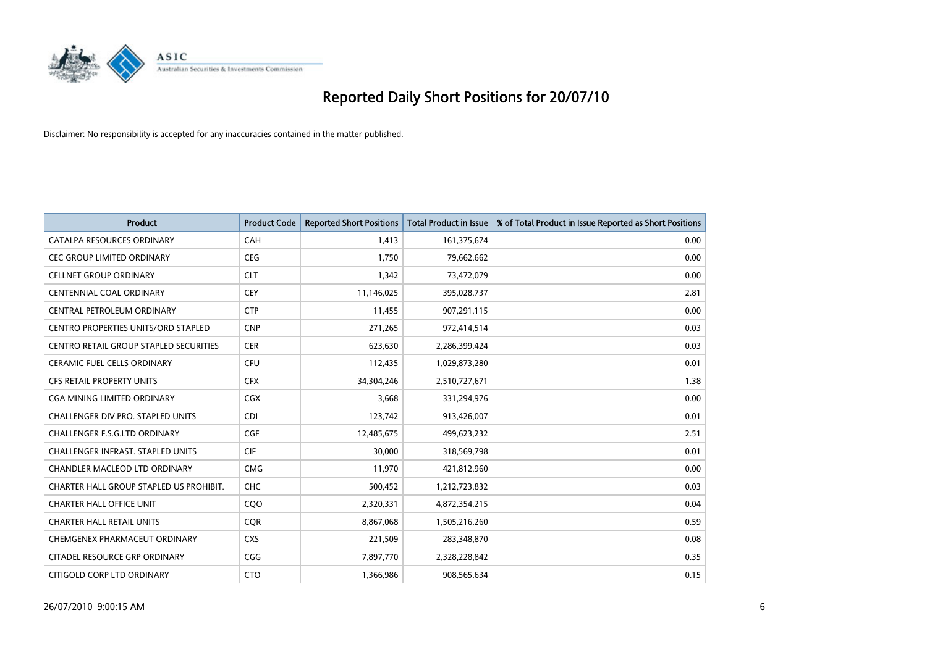

| <b>Product</b>                                | <b>Product Code</b> | <b>Reported Short Positions</b> | <b>Total Product in Issue</b> | % of Total Product in Issue Reported as Short Positions |
|-----------------------------------------------|---------------------|---------------------------------|-------------------------------|---------------------------------------------------------|
| CATALPA RESOURCES ORDINARY                    | CAH                 | 1.413                           | 161,375,674                   | 0.00                                                    |
| <b>CEC GROUP LIMITED ORDINARY</b>             | <b>CEG</b>          | 1,750                           | 79,662,662                    | 0.00                                                    |
| <b>CELLNET GROUP ORDINARY</b>                 | <b>CLT</b>          | 1.342                           | 73,472,079                    | 0.00                                                    |
| CENTENNIAL COAL ORDINARY                      | <b>CEY</b>          | 11,146,025                      | 395,028,737                   | 2.81                                                    |
| CENTRAL PETROLEUM ORDINARY                    | <b>CTP</b>          | 11,455                          | 907,291,115                   | 0.00                                                    |
| <b>CENTRO PROPERTIES UNITS/ORD STAPLED</b>    | <b>CNP</b>          | 271,265                         | 972,414,514                   | 0.03                                                    |
| <b>CENTRO RETAIL GROUP STAPLED SECURITIES</b> | <b>CER</b>          | 623,630                         | 2,286,399,424                 | 0.03                                                    |
| <b>CERAMIC FUEL CELLS ORDINARY</b>            | <b>CFU</b>          | 112,435                         | 1,029,873,280                 | 0.01                                                    |
| <b>CFS RETAIL PROPERTY UNITS</b>              | <b>CFX</b>          | 34,304,246                      | 2,510,727,671                 | 1.38                                                    |
| CGA MINING LIMITED ORDINARY                   | <b>CGX</b>          | 3,668                           | 331,294,976                   | 0.00                                                    |
| <b>CHALLENGER DIV.PRO. STAPLED UNITS</b>      | <b>CDI</b>          | 123,742                         | 913,426,007                   | 0.01                                                    |
| CHALLENGER F.S.G.LTD ORDINARY                 | <b>CGF</b>          | 12,485,675                      | 499,623,232                   | 2.51                                                    |
| CHALLENGER INFRAST. STAPLED UNITS             | <b>CIF</b>          | 30,000                          | 318,569,798                   | 0.01                                                    |
| <b>CHANDLER MACLEOD LTD ORDINARY</b>          | <b>CMG</b>          | 11,970                          | 421,812,960                   | 0.00                                                    |
| CHARTER HALL GROUP STAPLED US PROHIBIT.       | <b>CHC</b>          | 500,452                         | 1,212,723,832                 | 0.03                                                    |
| <b>CHARTER HALL OFFICE UNIT</b>               | C <sub>O</sub> O    | 2,320,331                       | 4,872,354,215                 | 0.04                                                    |
| <b>CHARTER HALL RETAIL UNITS</b>              | <b>COR</b>          | 8,867,068                       | 1,505,216,260                 | 0.59                                                    |
| CHEMGENEX PHARMACEUT ORDINARY                 | <b>CXS</b>          | 221,509                         | 283,348,870                   | 0.08                                                    |
| CITADEL RESOURCE GRP ORDINARY                 | CGG                 | 7,897,770                       | 2,328,228,842                 | 0.35                                                    |
| CITIGOLD CORP LTD ORDINARY                    | <b>CTO</b>          | 1,366,986                       | 908,565,634                   | 0.15                                                    |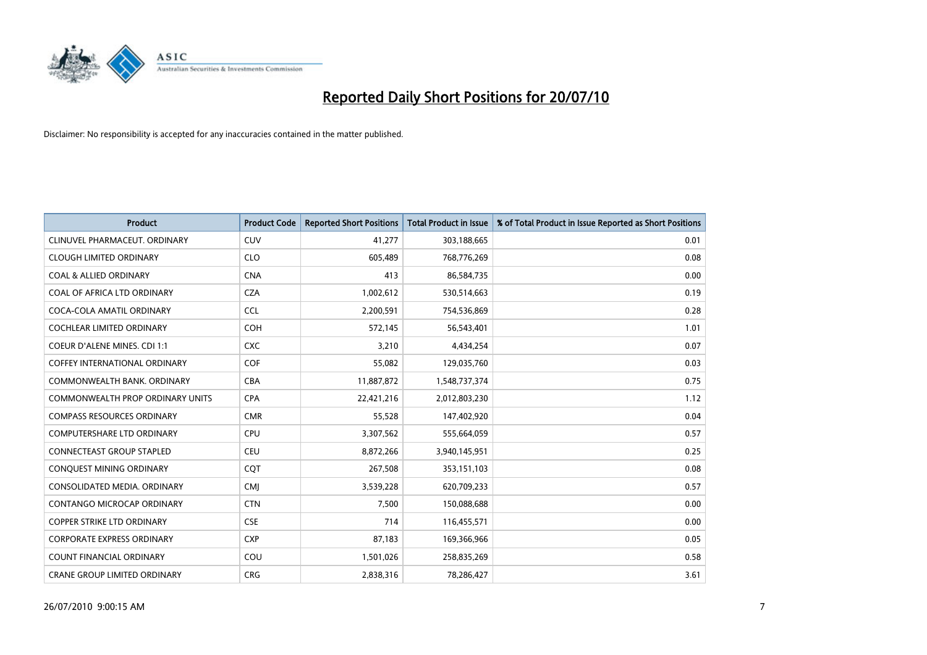

| <b>Product</b>                          | <b>Product Code</b> | <b>Reported Short Positions</b> | <b>Total Product in Issue</b> | % of Total Product in Issue Reported as Short Positions |
|-----------------------------------------|---------------------|---------------------------------|-------------------------------|---------------------------------------------------------|
| CLINUVEL PHARMACEUT. ORDINARY           | <b>CUV</b>          | 41,277                          | 303,188,665                   | 0.01                                                    |
| <b>CLOUGH LIMITED ORDINARY</b>          | <b>CLO</b>          | 605,489                         | 768,776,269                   | 0.08                                                    |
| <b>COAL &amp; ALLIED ORDINARY</b>       | <b>CNA</b>          | 413                             | 86,584,735                    | 0.00                                                    |
| COAL OF AFRICA LTD ORDINARY             | <b>CZA</b>          | 1,002,612                       | 530,514,663                   | 0.19                                                    |
| COCA-COLA AMATIL ORDINARY               | <b>CCL</b>          | 2,200,591                       | 754,536,869                   | 0.28                                                    |
| <b>COCHLEAR LIMITED ORDINARY</b>        | COH                 | 572,145                         | 56,543,401                    | 1.01                                                    |
| COEUR D'ALENE MINES. CDI 1:1            | <b>CXC</b>          | 3,210                           | 4,434,254                     | 0.07                                                    |
| <b>COFFEY INTERNATIONAL ORDINARY</b>    | <b>COF</b>          | 55,082                          | 129,035,760                   | 0.03                                                    |
| COMMONWEALTH BANK, ORDINARY             | <b>CBA</b>          | 11,887,872                      | 1,548,737,374                 | 0.75                                                    |
| <b>COMMONWEALTH PROP ORDINARY UNITS</b> | <b>CPA</b>          | 22,421,216                      | 2,012,803,230                 | 1.12                                                    |
| <b>COMPASS RESOURCES ORDINARY</b>       | <b>CMR</b>          | 55,528                          | 147,402,920                   | 0.04                                                    |
| COMPUTERSHARE LTD ORDINARY              | <b>CPU</b>          | 3,307,562                       | 555,664,059                   | 0.57                                                    |
| CONNECTEAST GROUP STAPLED               | <b>CEU</b>          | 8,872,266                       | 3,940,145,951                 | 0.25                                                    |
| CONQUEST MINING ORDINARY                | CQT                 | 267,508                         | 353,151,103                   | 0.08                                                    |
| CONSOLIDATED MEDIA, ORDINARY            | <b>CMI</b>          | 3,539,228                       | 620,709,233                   | 0.57                                                    |
| <b>CONTANGO MICROCAP ORDINARY</b>       | <b>CTN</b>          | 7,500                           | 150,088,688                   | 0.00                                                    |
| COPPER STRIKE LTD ORDINARY              | <b>CSE</b>          | 714                             | 116,455,571                   | 0.00                                                    |
| <b>CORPORATE EXPRESS ORDINARY</b>       | <b>CXP</b>          | 87,183                          | 169,366,966                   | 0.05                                                    |
| <b>COUNT FINANCIAL ORDINARY</b>         | COU                 | 1,501,026                       | 258,835,269                   | 0.58                                                    |
| CRANE GROUP LIMITED ORDINARY            | <b>CRG</b>          | 2,838,316                       | 78,286,427                    | 3.61                                                    |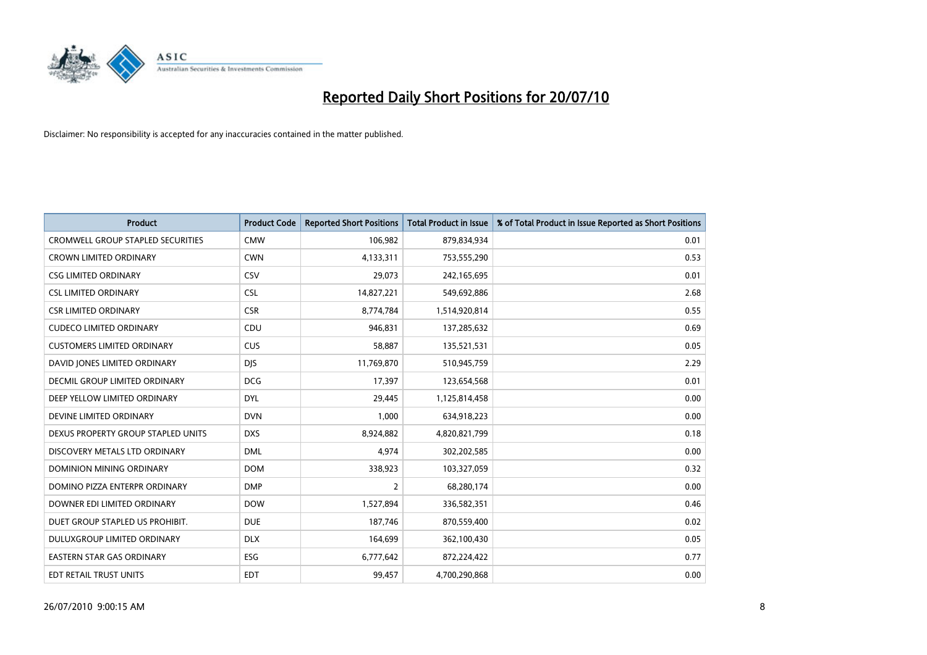

| <b>Product</b>                           | <b>Product Code</b> | <b>Reported Short Positions</b> | <b>Total Product in Issue</b> | % of Total Product in Issue Reported as Short Positions |
|------------------------------------------|---------------------|---------------------------------|-------------------------------|---------------------------------------------------------|
| <b>CROMWELL GROUP STAPLED SECURITIES</b> | <b>CMW</b>          | 106,982                         | 879,834,934                   | 0.01                                                    |
| CROWN LIMITED ORDINARY                   | <b>CWN</b>          | 4,133,311                       | 753,555,290                   | 0.53                                                    |
| <b>CSG LIMITED ORDINARY</b>              | CSV                 | 29.073                          | 242,165,695                   | 0.01                                                    |
| <b>CSL LIMITED ORDINARY</b>              | <b>CSL</b>          | 14,827,221                      | 549,692,886                   | 2.68                                                    |
| <b>CSR LIMITED ORDINARY</b>              | <b>CSR</b>          | 8,774,784                       | 1,514,920,814                 | 0.55                                                    |
| <b>CUDECO LIMITED ORDINARY</b>           | CDU                 | 946.831                         | 137,285,632                   | 0.69                                                    |
| <b>CUSTOMERS LIMITED ORDINARY</b>        | <b>CUS</b>          | 58,887                          | 135,521,531                   | 0.05                                                    |
| DAVID JONES LIMITED ORDINARY             | <b>DIS</b>          | 11,769,870                      | 510,945,759                   | 2.29                                                    |
| DECMIL GROUP LIMITED ORDINARY            | <b>DCG</b>          | 17,397                          | 123,654,568                   | 0.01                                                    |
| DEEP YELLOW LIMITED ORDINARY             | <b>DYL</b>          | 29,445                          | 1,125,814,458                 | 0.00                                                    |
| DEVINE LIMITED ORDINARY                  | <b>DVN</b>          | 1,000                           | 634,918,223                   | 0.00                                                    |
| DEXUS PROPERTY GROUP STAPLED UNITS       | <b>DXS</b>          | 8,924,882                       | 4,820,821,799                 | 0.18                                                    |
| DISCOVERY METALS LTD ORDINARY            | <b>DML</b>          | 4,974                           | 302,202,585                   | 0.00                                                    |
| <b>DOMINION MINING ORDINARY</b>          | <b>DOM</b>          | 338,923                         | 103,327,059                   | 0.32                                                    |
| DOMINO PIZZA ENTERPR ORDINARY            | <b>DMP</b>          | $\overline{2}$                  | 68,280,174                    | 0.00                                                    |
| DOWNER EDI LIMITED ORDINARY              | <b>DOW</b>          | 1,527,894                       | 336,582,351                   | 0.46                                                    |
| DUET GROUP STAPLED US PROHIBIT.          | <b>DUE</b>          | 187,746                         | 870,559,400                   | 0.02                                                    |
| DULUXGROUP LIMITED ORDINARY              | <b>DLX</b>          | 164,699                         | 362,100,430                   | 0.05                                                    |
| <b>EASTERN STAR GAS ORDINARY</b>         | ESG                 | 6,777,642                       | 872,224,422                   | 0.77                                                    |
| EDT RETAIL TRUST UNITS                   | EDT                 | 99,457                          | 4,700,290,868                 | 0.00                                                    |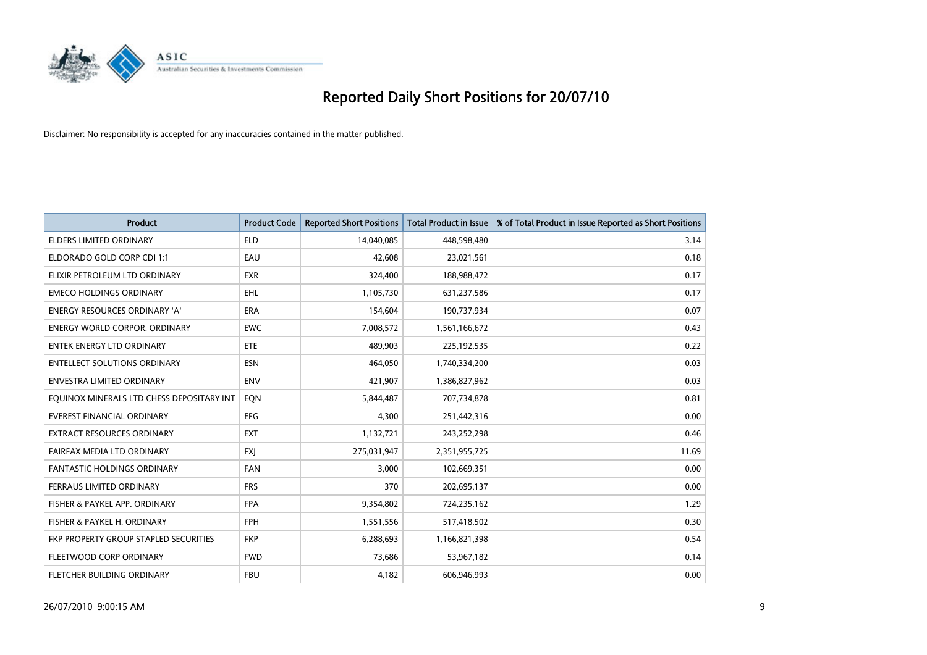

| <b>Product</b>                            | <b>Product Code</b> | <b>Reported Short Positions</b> | <b>Total Product in Issue</b> | % of Total Product in Issue Reported as Short Positions |
|-------------------------------------------|---------------------|---------------------------------|-------------------------------|---------------------------------------------------------|
| <b>ELDERS LIMITED ORDINARY</b>            | <b>ELD</b>          | 14,040,085                      | 448,598,480                   | 3.14                                                    |
| ELDORADO GOLD CORP CDI 1:1                | EAU                 | 42,608                          | 23,021,561                    | 0.18                                                    |
| ELIXIR PETROLEUM LTD ORDINARY             | <b>EXR</b>          | 324,400                         | 188,988,472                   | 0.17                                                    |
| <b>EMECO HOLDINGS ORDINARY</b>            | <b>EHL</b>          | 1,105,730                       | 631,237,586                   | 0.17                                                    |
| <b>ENERGY RESOURCES ORDINARY 'A'</b>      | <b>ERA</b>          | 154,604                         | 190,737,934                   | 0.07                                                    |
| <b>ENERGY WORLD CORPOR, ORDINARY</b>      | <b>EWC</b>          | 7,008,572                       | 1,561,166,672                 | 0.43                                                    |
| <b>ENTEK ENERGY LTD ORDINARY</b>          | ETE                 | 489,903                         | 225,192,535                   | 0.22                                                    |
| <b>ENTELLECT SOLUTIONS ORDINARY</b>       | <b>ESN</b>          | 464,050                         | 1,740,334,200                 | 0.03                                                    |
| <b>ENVESTRA LIMITED ORDINARY</b>          | <b>ENV</b>          | 421,907                         | 1,386,827,962                 | 0.03                                                    |
| EQUINOX MINERALS LTD CHESS DEPOSITARY INT | EON                 | 5,844,487                       | 707,734,878                   | 0.81                                                    |
| EVEREST FINANCIAL ORDINARY                | <b>EFG</b>          | 4,300                           | 251,442,316                   | 0.00                                                    |
| <b>EXTRACT RESOURCES ORDINARY</b>         | <b>EXT</b>          | 1,132,721                       | 243,252,298                   | 0.46                                                    |
| FAIRFAX MEDIA LTD ORDINARY                | <b>FXI</b>          | 275,031,947                     | 2,351,955,725                 | 11.69                                                   |
| <b>FANTASTIC HOLDINGS ORDINARY</b>        | <b>FAN</b>          | 3,000                           | 102,669,351                   | 0.00                                                    |
| FERRAUS LIMITED ORDINARY                  | <b>FRS</b>          | 370                             | 202,695,137                   | 0.00                                                    |
| FISHER & PAYKEL APP. ORDINARY             | <b>FPA</b>          | 9,354,802                       | 724,235,162                   | 1.29                                                    |
| FISHER & PAYKEL H. ORDINARY               | <b>FPH</b>          | 1,551,556                       | 517,418,502                   | 0.30                                                    |
| FKP PROPERTY GROUP STAPLED SECURITIES     | <b>FKP</b>          | 6,288,693                       | 1,166,821,398                 | 0.54                                                    |
| FLEETWOOD CORP ORDINARY                   | <b>FWD</b>          | 73,686                          | 53,967,182                    | 0.14                                                    |
| FLETCHER BUILDING ORDINARY                | <b>FBU</b>          | 4,182                           | 606,946,993                   | 0.00                                                    |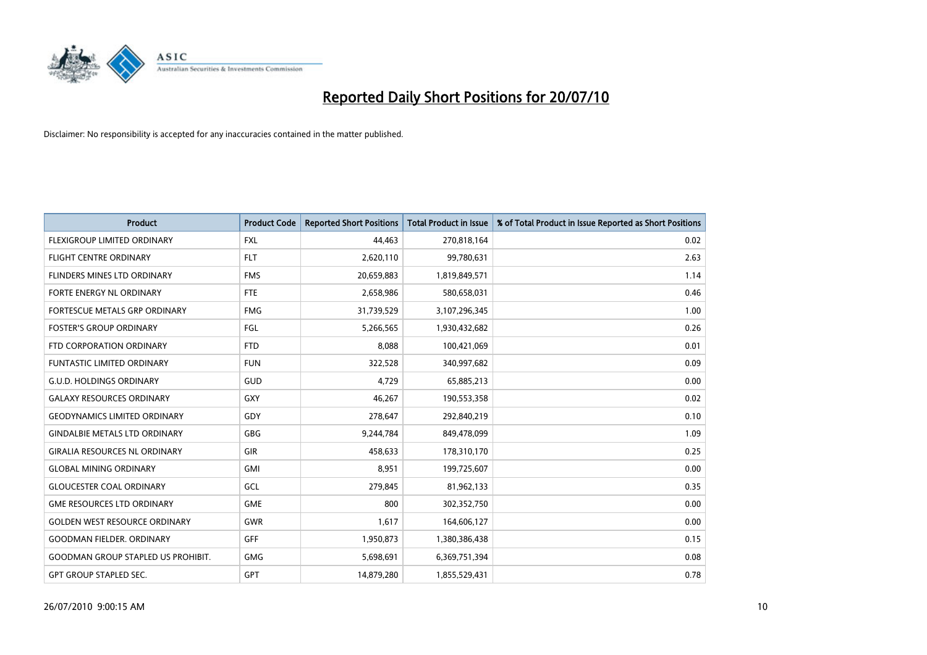

| <b>Product</b>                            | <b>Product Code</b> | <b>Reported Short Positions</b> | Total Product in Issue | % of Total Product in Issue Reported as Short Positions |
|-------------------------------------------|---------------------|---------------------------------|------------------------|---------------------------------------------------------|
| <b>FLEXIGROUP LIMITED ORDINARY</b>        | <b>FXL</b>          | 44,463                          | 270,818,164            | 0.02                                                    |
| FLIGHT CENTRE ORDINARY                    | <b>FLT</b>          | 2,620,110                       | 99,780,631             | 2.63                                                    |
| <b>FLINDERS MINES LTD ORDINARY</b>        | <b>FMS</b>          | 20,659,883                      | 1,819,849,571          | 1.14                                                    |
| <b>FORTE ENERGY NL ORDINARY</b>           | <b>FTE</b>          | 2,658,986                       | 580,658,031            | 0.46                                                    |
| FORTESCUE METALS GRP ORDINARY             | <b>FMG</b>          | 31,739,529                      | 3,107,296,345          | 1.00                                                    |
| <b>FOSTER'S GROUP ORDINARY</b>            | FGL                 | 5,266,565                       | 1,930,432,682          | 0.26                                                    |
| FTD CORPORATION ORDINARY                  | <b>FTD</b>          | 8,088                           | 100,421,069            | 0.01                                                    |
| FUNTASTIC LIMITED ORDINARY                | <b>FUN</b>          | 322,528                         | 340,997,682            | 0.09                                                    |
| <b>G.U.D. HOLDINGS ORDINARY</b>           | <b>GUD</b>          | 4,729                           | 65,885,213             | 0.00                                                    |
| <b>GALAXY RESOURCES ORDINARY</b>          | <b>GXY</b>          | 46,267                          | 190,553,358            | 0.02                                                    |
| <b>GEODYNAMICS LIMITED ORDINARY</b>       | GDY                 | 278,647                         | 292,840,219            | 0.10                                                    |
| <b>GINDALBIE METALS LTD ORDINARY</b>      | <b>GBG</b>          | 9,244,784                       | 849,478,099            | 1.09                                                    |
| <b>GIRALIA RESOURCES NL ORDINARY</b>      | GIR                 | 458,633                         | 178,310,170            | 0.25                                                    |
| <b>GLOBAL MINING ORDINARY</b>             | GMI                 | 8,951                           | 199,725,607            | 0.00                                                    |
| <b>GLOUCESTER COAL ORDINARY</b>           | GCL                 | 279,845                         | 81,962,133             | 0.35                                                    |
| <b>GME RESOURCES LTD ORDINARY</b>         | <b>GME</b>          | 800                             | 302,352,750            | 0.00                                                    |
| <b>GOLDEN WEST RESOURCE ORDINARY</b>      | GWR                 | 1,617                           | 164,606,127            | 0.00                                                    |
| <b>GOODMAN FIELDER. ORDINARY</b>          | <b>GFF</b>          | 1,950,873                       | 1,380,386,438          | 0.15                                                    |
| <b>GOODMAN GROUP STAPLED US PROHIBIT.</b> | <b>GMG</b>          | 5,698,691                       | 6,369,751,394          | 0.08                                                    |
| <b>GPT GROUP STAPLED SEC.</b>             | GPT                 | 14,879,280                      | 1,855,529,431          | 0.78                                                    |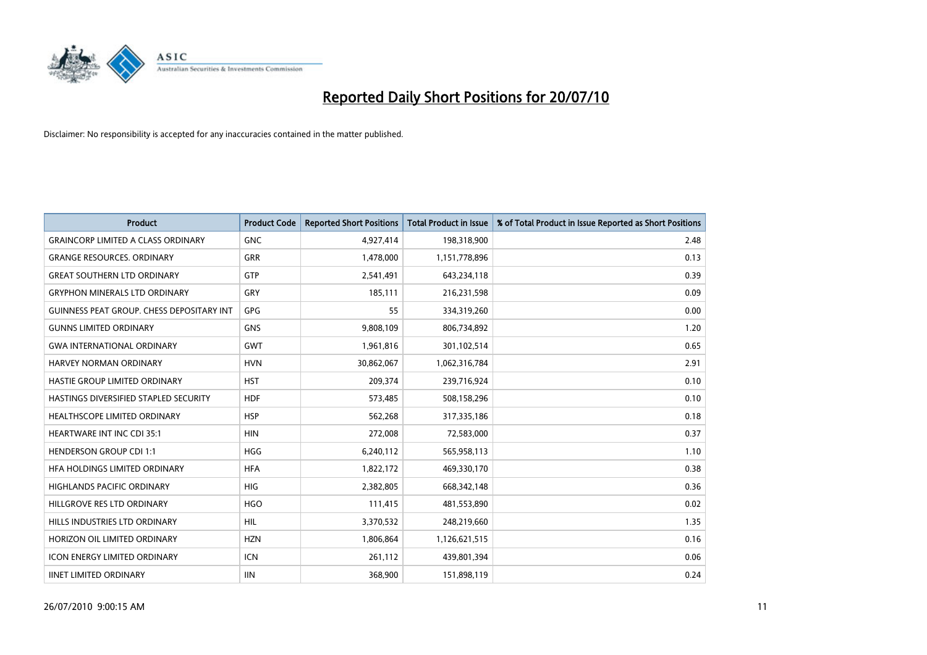

| <b>Product</b>                                   | <b>Product Code</b> | <b>Reported Short Positions</b> | Total Product in Issue | % of Total Product in Issue Reported as Short Positions |
|--------------------------------------------------|---------------------|---------------------------------|------------------------|---------------------------------------------------------|
| <b>GRAINCORP LIMITED A CLASS ORDINARY</b>        | <b>GNC</b>          | 4,927,414                       | 198,318,900            | 2.48                                                    |
| <b>GRANGE RESOURCES. ORDINARY</b>                | GRR                 | 1,478,000                       | 1,151,778,896          | 0.13                                                    |
| <b>GREAT SOUTHERN LTD ORDINARY</b>               | GTP                 | 2,541,491                       | 643,234,118            | 0.39                                                    |
| <b>GRYPHON MINERALS LTD ORDINARY</b>             | GRY                 | 185,111                         | 216,231,598            | 0.09                                                    |
| <b>GUINNESS PEAT GROUP. CHESS DEPOSITARY INT</b> | <b>GPG</b>          | 55                              | 334,319,260            | 0.00                                                    |
| <b>GUNNS LIMITED ORDINARY</b>                    | <b>GNS</b>          | 9,808,109                       | 806,734,892            | 1.20                                                    |
| <b>GWA INTERNATIONAL ORDINARY</b>                | <b>GWT</b>          | 1,961,816                       | 301,102,514            | 0.65                                                    |
| <b>HARVEY NORMAN ORDINARY</b>                    | <b>HVN</b>          | 30,862,067                      | 1,062,316,784          | 2.91                                                    |
| HASTIE GROUP LIMITED ORDINARY                    | <b>HST</b>          | 209,374                         | 239,716,924            | 0.10                                                    |
| HASTINGS DIVERSIFIED STAPLED SECURITY            | <b>HDF</b>          | 573,485                         | 508,158,296            | 0.10                                                    |
| <b>HEALTHSCOPE LIMITED ORDINARY</b>              | <b>HSP</b>          | 562,268                         | 317,335,186            | 0.18                                                    |
| <b>HEARTWARE INT INC CDI 35:1</b>                | <b>HIN</b>          | 272,008                         | 72,583,000             | 0.37                                                    |
| <b>HENDERSON GROUP CDI 1:1</b>                   | <b>HGG</b>          | 6,240,112                       | 565,958,113            | 1.10                                                    |
| HFA HOLDINGS LIMITED ORDINARY                    | <b>HFA</b>          | 1,822,172                       | 469,330,170            | 0.38                                                    |
| <b>HIGHLANDS PACIFIC ORDINARY</b>                | <b>HIG</b>          | 2,382,805                       | 668,342,148            | 0.36                                                    |
| HILLGROVE RES LTD ORDINARY                       | <b>HGO</b>          | 111,415                         | 481,553,890            | 0.02                                                    |
| HILLS INDUSTRIES LTD ORDINARY                    | <b>HIL</b>          | 3,370,532                       | 248,219,660            | 1.35                                                    |
| HORIZON OIL LIMITED ORDINARY                     | <b>HZN</b>          | 1,806,864                       | 1,126,621,515          | 0.16                                                    |
| <b>ICON ENERGY LIMITED ORDINARY</b>              | <b>ICN</b>          | 261,112                         | 439,801,394            | 0.06                                                    |
| <b>IINET LIMITED ORDINARY</b>                    | <b>IIN</b>          | 368,900                         | 151,898,119            | 0.24                                                    |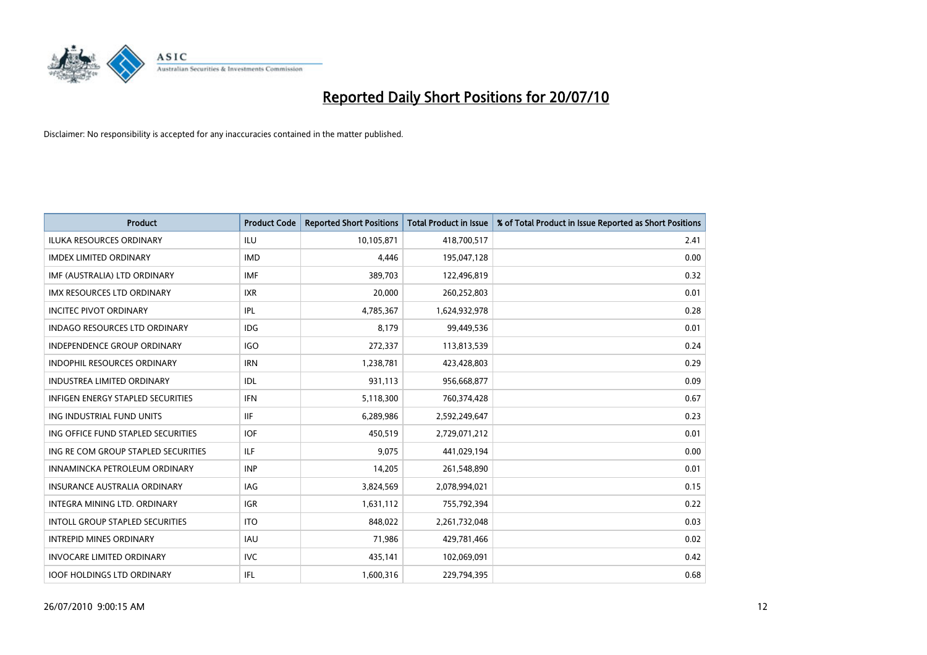

| <b>Product</b>                           | <b>Product Code</b> | <b>Reported Short Positions</b> | <b>Total Product in Issue</b> | % of Total Product in Issue Reported as Short Positions |
|------------------------------------------|---------------------|---------------------------------|-------------------------------|---------------------------------------------------------|
| <b>ILUKA RESOURCES ORDINARY</b>          | <b>ILU</b>          | 10,105,871                      | 418,700,517                   | 2.41                                                    |
| <b>IMDEX LIMITED ORDINARY</b>            | <b>IMD</b>          | 4,446                           | 195,047,128                   | 0.00                                                    |
| IMF (AUSTRALIA) LTD ORDINARY             | <b>IMF</b>          | 389,703                         | 122,496,819                   | 0.32                                                    |
| IMX RESOURCES LTD ORDINARY               | <b>IXR</b>          | 20,000                          | 260,252,803                   | 0.01                                                    |
| <b>INCITEC PIVOT ORDINARY</b>            | <b>IPL</b>          | 4,785,367                       | 1,624,932,978                 | 0.28                                                    |
| <b>INDAGO RESOURCES LTD ORDINARY</b>     | <b>IDG</b>          | 8.179                           | 99,449,536                    | 0.01                                                    |
| <b>INDEPENDENCE GROUP ORDINARY</b>       | <b>IGO</b>          | 272,337                         | 113,813,539                   | 0.24                                                    |
| INDOPHIL RESOURCES ORDINARY              | <b>IRN</b>          | 1,238,781                       | 423,428,803                   | 0.29                                                    |
| INDUSTREA LIMITED ORDINARY               | IDL                 | 931,113                         | 956,668,877                   | 0.09                                                    |
| <b>INFIGEN ENERGY STAPLED SECURITIES</b> | <b>IFN</b>          | 5,118,300                       | 760,374,428                   | 0.67                                                    |
| ING INDUSTRIAL FUND UNITS                | <b>IIF</b>          | 6,289,986                       | 2,592,249,647                 | 0.23                                                    |
| ING OFFICE FUND STAPLED SECURITIES       | <b>IOF</b>          | 450,519                         | 2,729,071,212                 | 0.01                                                    |
| ING RE COM GROUP STAPLED SECURITIES      | <b>ILF</b>          | 9,075                           | 441,029,194                   | 0.00                                                    |
| INNAMINCKA PETROLEUM ORDINARY            | <b>INP</b>          | 14,205                          | 261,548,890                   | 0.01                                                    |
| INSURANCE AUSTRALIA ORDINARY             | <b>IAG</b>          | 3,824,569                       | 2,078,994,021                 | 0.15                                                    |
| INTEGRA MINING LTD, ORDINARY             | <b>IGR</b>          | 1,631,112                       | 755,792,394                   | 0.22                                                    |
| <b>INTOLL GROUP STAPLED SECURITIES</b>   | <b>ITO</b>          | 848,022                         | 2,261,732,048                 | 0.03                                                    |
| <b>INTREPID MINES ORDINARY</b>           | <b>IAU</b>          | 71,986                          | 429,781,466                   | 0.02                                                    |
| <b>INVOCARE LIMITED ORDINARY</b>         | <b>IVC</b>          | 435,141                         | 102,069,091                   | 0.42                                                    |
| <b>IOOF HOLDINGS LTD ORDINARY</b>        | <b>IFL</b>          | 1,600,316                       | 229,794,395                   | 0.68                                                    |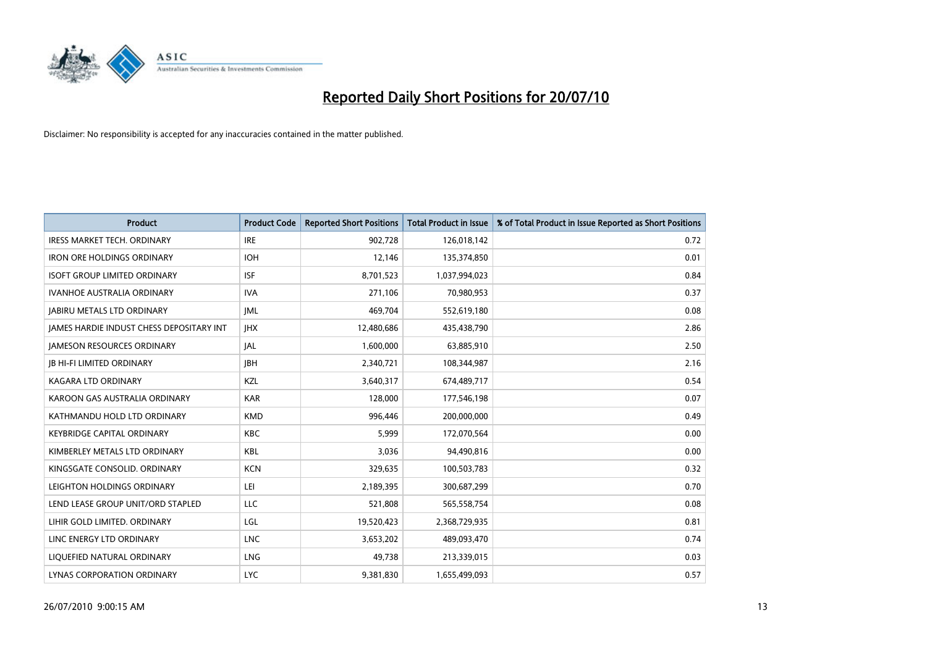

| <b>Product</b>                                  | <b>Product Code</b> | <b>Reported Short Positions</b> | <b>Total Product in Issue</b> | % of Total Product in Issue Reported as Short Positions |
|-------------------------------------------------|---------------------|---------------------------------|-------------------------------|---------------------------------------------------------|
| <b>IRESS MARKET TECH. ORDINARY</b>              | <b>IRE</b>          | 902,728                         | 126,018,142                   | 0.72                                                    |
| <b>IRON ORE HOLDINGS ORDINARY</b>               | <b>IOH</b>          | 12,146                          | 135,374,850                   | 0.01                                                    |
| <b>ISOFT GROUP LIMITED ORDINARY</b>             | <b>ISF</b>          | 8,701,523                       | 1,037,994,023                 | 0.84                                                    |
| IVANHOE AUSTRALIA ORDINARY                      | <b>IVA</b>          | 271,106                         | 70,980,953                    | 0.37                                                    |
| <b>JABIRU METALS LTD ORDINARY</b>               | <b>JML</b>          | 469,704                         | 552,619,180                   | 0.08                                                    |
| <b>IAMES HARDIE INDUST CHESS DEPOSITARY INT</b> | <b>IHX</b>          | 12,480,686                      | 435,438,790                   | 2.86                                                    |
| <b>JAMESON RESOURCES ORDINARY</b>               | JAL                 | 1,600,000                       | 63,885,910                    | 2.50                                                    |
| <b>JB HI-FI LIMITED ORDINARY</b>                | <b>IBH</b>          | 2,340,721                       | 108,344,987                   | 2.16                                                    |
| <b>KAGARA LTD ORDINARY</b>                      | KZL                 | 3,640,317                       | 674,489,717                   | 0.54                                                    |
| KAROON GAS AUSTRALIA ORDINARY                   | <b>KAR</b>          | 128,000                         | 177,546,198                   | 0.07                                                    |
| KATHMANDU HOLD LTD ORDINARY                     | <b>KMD</b>          | 996,446                         | 200,000,000                   | 0.49                                                    |
| <b>KEYBRIDGE CAPITAL ORDINARY</b>               | <b>KBC</b>          | 5,999                           | 172,070,564                   | 0.00                                                    |
| KIMBERLEY METALS LTD ORDINARY                   | <b>KBL</b>          | 3,036                           | 94,490,816                    | 0.00                                                    |
| KINGSGATE CONSOLID. ORDINARY                    | <b>KCN</b>          | 329,635                         | 100,503,783                   | 0.32                                                    |
| LEIGHTON HOLDINGS ORDINARY                      | LEI                 | 2,189,395                       | 300,687,299                   | 0.70                                                    |
| LEND LEASE GROUP UNIT/ORD STAPLED               | LLC                 | 521,808                         | 565,558,754                   | 0.08                                                    |
| LIHIR GOLD LIMITED. ORDINARY                    | LGL                 | 19,520,423                      | 2,368,729,935                 | 0.81                                                    |
| LINC ENERGY LTD ORDINARY                        | <b>LNC</b>          | 3,653,202                       | 489,093,470                   | 0.74                                                    |
| LIQUEFIED NATURAL ORDINARY                      | <b>LNG</b>          | 49,738                          | 213,339,015                   | 0.03                                                    |
| LYNAS CORPORATION ORDINARY                      | <b>LYC</b>          | 9,381,830                       | 1,655,499,093                 | 0.57                                                    |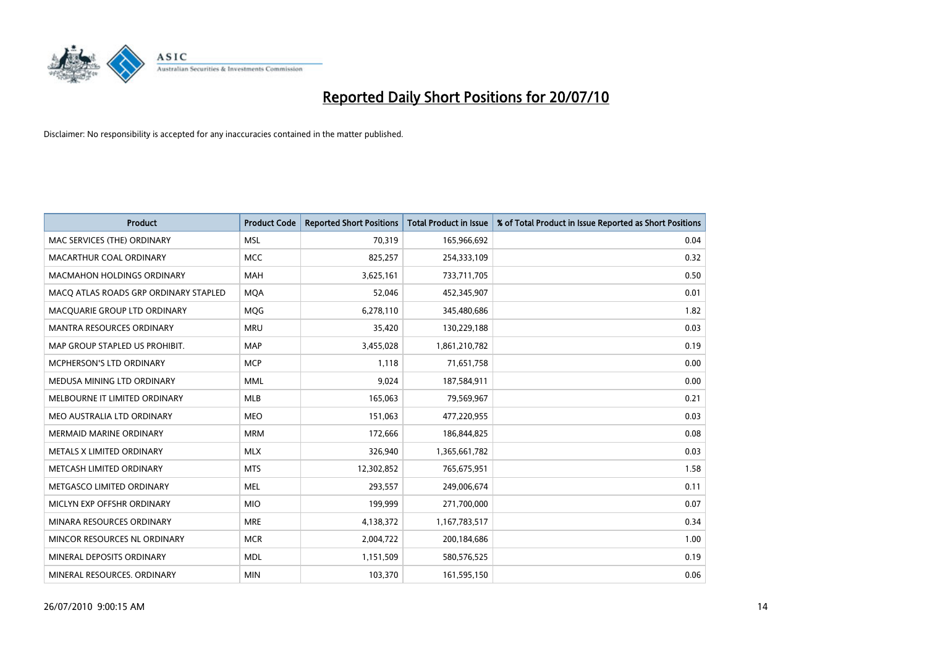

| <b>Product</b>                        | <b>Product Code</b> | <b>Reported Short Positions</b> | <b>Total Product in Issue</b> | % of Total Product in Issue Reported as Short Positions |
|---------------------------------------|---------------------|---------------------------------|-------------------------------|---------------------------------------------------------|
| MAC SERVICES (THE) ORDINARY           | <b>MSL</b>          | 70,319                          | 165,966,692                   | 0.04                                                    |
| MACARTHUR COAL ORDINARY               | <b>MCC</b>          | 825,257                         | 254,333,109                   | 0.32                                                    |
| <b>MACMAHON HOLDINGS ORDINARY</b>     | <b>MAH</b>          | 3,625,161                       | 733,711,705                   | 0.50                                                    |
| MACO ATLAS ROADS GRP ORDINARY STAPLED | <b>MOA</b>          | 52,046                          | 452,345,907                   | 0.01                                                    |
| MACQUARIE GROUP LTD ORDINARY          | <b>MOG</b>          | 6,278,110                       | 345,480,686                   | 1.82                                                    |
| <b>MANTRA RESOURCES ORDINARY</b>      | <b>MRU</b>          | 35,420                          | 130,229,188                   | 0.03                                                    |
| MAP GROUP STAPLED US PROHIBIT.        | <b>MAP</b>          | 3,455,028                       | 1,861,210,782                 | 0.19                                                    |
| MCPHERSON'S LTD ORDINARY              | <b>MCP</b>          | 1,118                           | 71,651,758                    | 0.00                                                    |
| MEDUSA MINING LTD ORDINARY            | <b>MML</b>          | 9.024                           | 187,584,911                   | 0.00                                                    |
| MELBOURNE IT LIMITED ORDINARY         | <b>MLB</b>          | 165,063                         | 79,569,967                    | 0.21                                                    |
| MEO AUSTRALIA LTD ORDINARY            | <b>MEO</b>          | 151,063                         | 477,220,955                   | 0.03                                                    |
| <b>MERMAID MARINE ORDINARY</b>        | <b>MRM</b>          | 172,666                         | 186,844,825                   | 0.08                                                    |
| METALS X LIMITED ORDINARY             | <b>MLX</b>          | 326,940                         | 1,365,661,782                 | 0.03                                                    |
| METCASH LIMITED ORDINARY              | <b>MTS</b>          | 12,302,852                      | 765,675,951                   | 1.58                                                    |
| METGASCO LIMITED ORDINARY             | <b>MEL</b>          | 293,557                         | 249,006,674                   | 0.11                                                    |
| MICLYN EXP OFFSHR ORDINARY            | <b>MIO</b>          | 199,999                         | 271,700,000                   | 0.07                                                    |
| MINARA RESOURCES ORDINARY             | <b>MRE</b>          | 4,138,372                       | 1,167,783,517                 | 0.34                                                    |
| MINCOR RESOURCES NL ORDINARY          | <b>MCR</b>          | 2,004,722                       | 200,184,686                   | 1.00                                                    |
| MINERAL DEPOSITS ORDINARY             | <b>MDL</b>          | 1,151,509                       | 580,576,525                   | 0.19                                                    |
| MINERAL RESOURCES. ORDINARY           | <b>MIN</b>          | 103,370                         | 161,595,150                   | 0.06                                                    |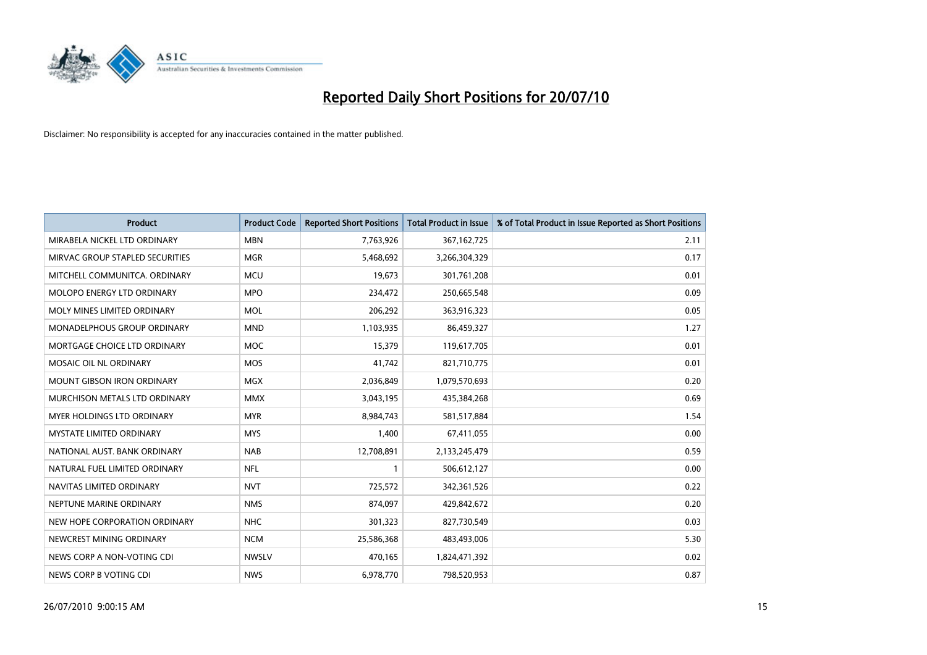

| <b>Product</b>                  | <b>Product Code</b> | <b>Reported Short Positions</b> | <b>Total Product in Issue</b> | % of Total Product in Issue Reported as Short Positions |
|---------------------------------|---------------------|---------------------------------|-------------------------------|---------------------------------------------------------|
| MIRABELA NICKEL LTD ORDINARY    | <b>MBN</b>          | 7,763,926                       | 367, 162, 725                 | 2.11                                                    |
| MIRVAC GROUP STAPLED SECURITIES | <b>MGR</b>          | 5,468,692                       | 3,266,304,329                 | 0.17                                                    |
| MITCHELL COMMUNITCA, ORDINARY   | <b>MCU</b>          | 19,673                          | 301,761,208                   | 0.01                                                    |
| MOLOPO ENERGY LTD ORDINARY      | <b>MPO</b>          | 234,472                         | 250,665,548                   | 0.09                                                    |
| MOLY MINES LIMITED ORDINARY     | <b>MOL</b>          | 206,292                         | 363,916,323                   | 0.05                                                    |
| MONADELPHOUS GROUP ORDINARY     | <b>MND</b>          | 1,103,935                       | 86,459,327                    | 1.27                                                    |
| MORTGAGE CHOICE LTD ORDINARY    | <b>MOC</b>          | 15,379                          | 119,617,705                   | 0.01                                                    |
| MOSAIC OIL NL ORDINARY          | <b>MOS</b>          | 41,742                          | 821,710,775                   | 0.01                                                    |
| MOUNT GIBSON IRON ORDINARY      | <b>MGX</b>          | 2,036,849                       | 1,079,570,693                 | 0.20                                                    |
| MURCHISON METALS LTD ORDINARY   | <b>MMX</b>          | 3,043,195                       | 435,384,268                   | 0.69                                                    |
| MYER HOLDINGS LTD ORDINARY      | <b>MYR</b>          | 8,984,743                       | 581,517,884                   | 1.54                                                    |
| <b>MYSTATE LIMITED ORDINARY</b> | <b>MYS</b>          | 1,400                           | 67,411,055                    | 0.00                                                    |
| NATIONAL AUST, BANK ORDINARY    | <b>NAB</b>          | 12,708,891                      | 2,133,245,479                 | 0.59                                                    |
| NATURAL FUEL LIMITED ORDINARY   | <b>NFL</b>          |                                 | 506,612,127                   | 0.00                                                    |
| NAVITAS LIMITED ORDINARY        | <b>NVT</b>          | 725,572                         | 342,361,526                   | 0.22                                                    |
| NEPTUNE MARINE ORDINARY         | <b>NMS</b>          | 874.097                         | 429,842,672                   | 0.20                                                    |
| NEW HOPE CORPORATION ORDINARY   | <b>NHC</b>          | 301,323                         | 827,730,549                   | 0.03                                                    |
| NEWCREST MINING ORDINARY        | <b>NCM</b>          | 25,586,368                      | 483,493,006                   | 5.30                                                    |
| NEWS CORP A NON-VOTING CDI      | <b>NWSLV</b>        | 470,165                         | 1,824,471,392                 | 0.02                                                    |
| NEWS CORP B VOTING CDI          | <b>NWS</b>          | 6,978,770                       | 798,520,953                   | 0.87                                                    |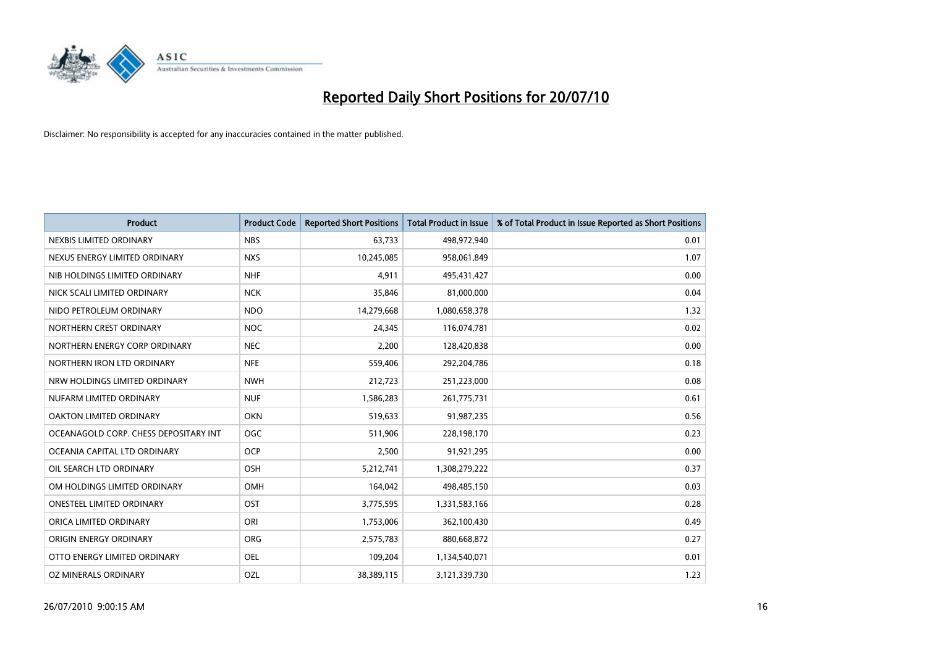

| <b>Product</b>                        | <b>Product Code</b> | <b>Reported Short Positions</b> | <b>Total Product in Issue</b> | % of Total Product in Issue Reported as Short Positions |
|---------------------------------------|---------------------|---------------------------------|-------------------------------|---------------------------------------------------------|
| NEXBIS LIMITED ORDINARY               | <b>NBS</b>          | 63,733                          | 498,972,940                   | 0.01                                                    |
| NEXUS ENERGY LIMITED ORDINARY         | <b>NXS</b>          | 10,245,085                      | 958,061,849                   | 1.07                                                    |
| NIB HOLDINGS LIMITED ORDINARY         | <b>NHF</b>          | 4,911                           | 495,431,427                   | 0.00                                                    |
| NICK SCALI LIMITED ORDINARY           | <b>NCK</b>          | 35,846                          | 81,000,000                    | 0.04                                                    |
| NIDO PETROLEUM ORDINARY               | <b>NDO</b>          | 14,279,668                      | 1,080,658,378                 | 1.32                                                    |
| NORTHERN CREST ORDINARY               | <b>NOC</b>          | 24,345                          | 116,074,781                   | 0.02                                                    |
| NORTHERN ENERGY CORP ORDINARY         | <b>NEC</b>          | 2,200                           | 128,420,838                   | 0.00                                                    |
| NORTHERN IRON LTD ORDINARY            | <b>NFE</b>          | 559,406                         | 292,204,786                   | 0.18                                                    |
| NRW HOLDINGS LIMITED ORDINARY         | <b>NWH</b>          | 212,723                         | 251,223,000                   | 0.08                                                    |
| NUFARM LIMITED ORDINARY               | <b>NUF</b>          | 1,586,283                       | 261,775,731                   | 0.61                                                    |
| OAKTON LIMITED ORDINARY               | <b>OKN</b>          | 519,633                         | 91,987,235                    | 0.56                                                    |
| OCEANAGOLD CORP. CHESS DEPOSITARY INT | <b>OGC</b>          | 511,906                         | 228,198,170                   | 0.23                                                    |
| OCEANIA CAPITAL LTD ORDINARY          | <b>OCP</b>          | 2,500                           | 91,921,295                    | 0.00                                                    |
| OIL SEARCH LTD ORDINARY               | OSH                 | 5,212,741                       | 1,308,279,222                 | 0.37                                                    |
| OM HOLDINGS LIMITED ORDINARY          | OMH                 | 164,042                         | 498,485,150                   | 0.03                                                    |
| ONESTEEL LIMITED ORDINARY             | OST                 | 3,775,595                       | 1,331,583,166                 | 0.28                                                    |
| ORICA LIMITED ORDINARY                | ORI                 | 1,753,006                       | 362,100,430                   | 0.49                                                    |
| ORIGIN ENERGY ORDINARY                | <b>ORG</b>          | 2,575,783                       | 880,668,872                   | 0.27                                                    |
| OTTO ENERGY LIMITED ORDINARY          | <b>OEL</b>          | 109,204                         | 1,134,540,071                 | 0.01                                                    |
| OZ MINERALS ORDINARY                  | OZL                 | 38,389,115                      | 3,121,339,730                 | 1.23                                                    |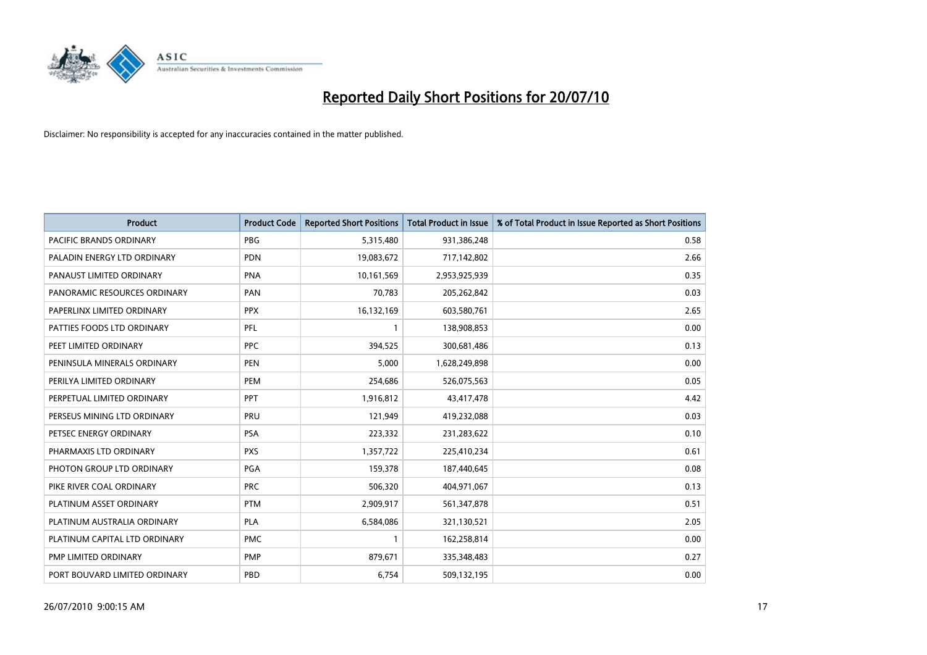

| <b>Product</b>                | <b>Product Code</b> | <b>Reported Short Positions</b> | Total Product in Issue | % of Total Product in Issue Reported as Short Positions |
|-------------------------------|---------------------|---------------------------------|------------------------|---------------------------------------------------------|
| PACIFIC BRANDS ORDINARY       | <b>PBG</b>          | 5,315,480                       | 931,386,248            | 0.58                                                    |
| PALADIN ENERGY LTD ORDINARY   | <b>PDN</b>          | 19,083,672                      | 717,142,802            | 2.66                                                    |
| PANAUST LIMITED ORDINARY      | <b>PNA</b>          | 10,161,569                      | 2,953,925,939          | 0.35                                                    |
| PANORAMIC RESOURCES ORDINARY  | PAN                 | 70,783                          | 205,262,842            | 0.03                                                    |
| PAPERLINX LIMITED ORDINARY    | <b>PPX</b>          | 16,132,169                      | 603,580,761            | 2.65                                                    |
| PATTIES FOODS LTD ORDINARY    | PFL                 |                                 | 138,908,853            | 0.00                                                    |
| PEET LIMITED ORDINARY         | <b>PPC</b>          | 394,525                         | 300,681,486            | 0.13                                                    |
| PENINSULA MINERALS ORDINARY   | <b>PEN</b>          | 5,000                           | 1,628,249,898          | 0.00                                                    |
| PERILYA LIMITED ORDINARY      | PEM                 | 254,686                         | 526,075,563            | 0.05                                                    |
| PERPETUAL LIMITED ORDINARY    | <b>PPT</b>          | 1,916,812                       | 43,417,478             | 4.42                                                    |
| PERSEUS MINING LTD ORDINARY   | PRU                 | 121,949                         | 419,232,088            | 0.03                                                    |
| PETSEC ENERGY ORDINARY        | <b>PSA</b>          | 223,332                         | 231,283,622            | 0.10                                                    |
| PHARMAXIS LTD ORDINARY        | <b>PXS</b>          | 1,357,722                       | 225,410,234            | 0.61                                                    |
| PHOTON GROUP LTD ORDINARY     | PGA                 | 159,378                         | 187,440,645            | 0.08                                                    |
| PIKE RIVER COAL ORDINARY      | <b>PRC</b>          | 506,320                         | 404,971,067            | 0.13                                                    |
| PLATINUM ASSET ORDINARY       | <b>PTM</b>          | 2,909,917                       | 561,347,878            | 0.51                                                    |
| PLATINUM AUSTRALIA ORDINARY   | <b>PLA</b>          | 6,584,086                       | 321,130,521            | 2.05                                                    |
| PLATINUM CAPITAL LTD ORDINARY | <b>PMC</b>          |                                 | 162,258,814            | 0.00                                                    |
| PMP LIMITED ORDINARY          | <b>PMP</b>          | 879,671                         | 335,348,483            | 0.27                                                    |
| PORT BOUVARD LIMITED ORDINARY | PBD                 | 6,754                           | 509,132,195            | 0.00                                                    |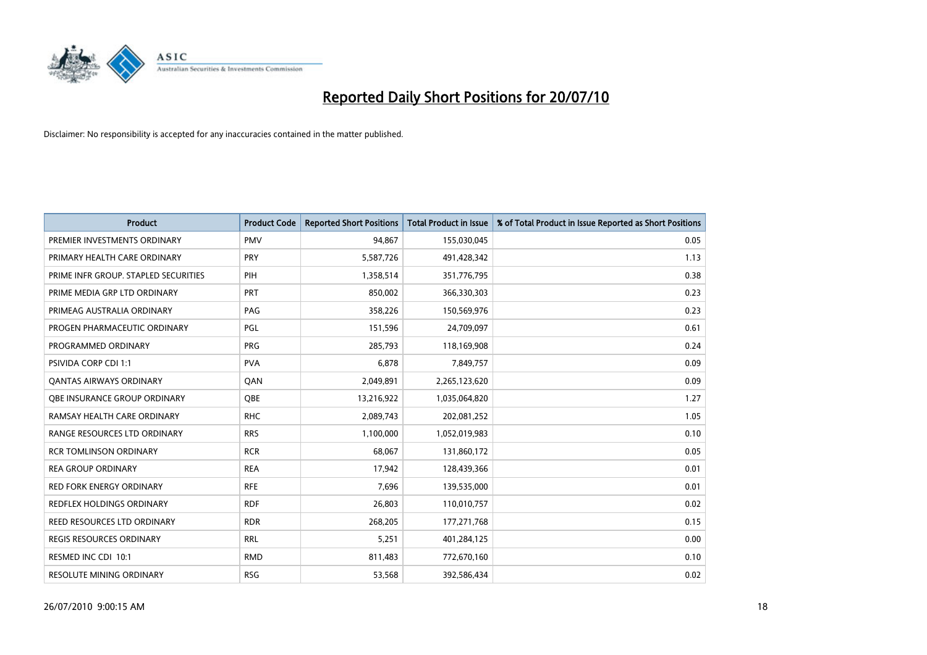

| <b>Product</b>                       | <b>Product Code</b> | <b>Reported Short Positions</b> | <b>Total Product in Issue</b> | % of Total Product in Issue Reported as Short Positions |
|--------------------------------------|---------------------|---------------------------------|-------------------------------|---------------------------------------------------------|
| PREMIER INVESTMENTS ORDINARY         | <b>PMV</b>          | 94,867                          | 155,030,045                   | 0.05                                                    |
| PRIMARY HEALTH CARE ORDINARY         | <b>PRY</b>          | 5,587,726                       | 491,428,342                   | 1.13                                                    |
| PRIME INFR GROUP. STAPLED SECURITIES | PIH                 | 1,358,514                       | 351,776,795                   | 0.38                                                    |
| PRIME MEDIA GRP LTD ORDINARY         | <b>PRT</b>          | 850,002                         | 366,330,303                   | 0.23                                                    |
| PRIMEAG AUSTRALIA ORDINARY           | PAG                 | 358,226                         | 150,569,976                   | 0.23                                                    |
| PROGEN PHARMACEUTIC ORDINARY         | PGL                 | 151,596                         | 24,709,097                    | 0.61                                                    |
| PROGRAMMED ORDINARY                  | PRG                 | 285,793                         | 118,169,908                   | 0.24                                                    |
| <b>PSIVIDA CORP CDI 1:1</b>          | <b>PVA</b>          | 6.878                           | 7,849,757                     | 0.09                                                    |
| <b>QANTAS AIRWAYS ORDINARY</b>       | QAN                 | 2,049,891                       | 2,265,123,620                 | 0.09                                                    |
| OBE INSURANCE GROUP ORDINARY         | OBE                 | 13,216,922                      | 1,035,064,820                 | 1.27                                                    |
| RAMSAY HEALTH CARE ORDINARY          | <b>RHC</b>          | 2,089,743                       | 202,081,252                   | 1.05                                                    |
| RANGE RESOURCES LTD ORDINARY         | <b>RRS</b>          | 1,100,000                       | 1,052,019,983                 | 0.10                                                    |
| <b>RCR TOMLINSON ORDINARY</b>        | <b>RCR</b>          | 68,067                          | 131,860,172                   | 0.05                                                    |
| <b>REA GROUP ORDINARY</b>            | <b>REA</b>          | 17,942                          | 128,439,366                   | 0.01                                                    |
| <b>RED FORK ENERGY ORDINARY</b>      | <b>RFE</b>          | 7,696                           | 139,535,000                   | 0.01                                                    |
| <b>REDFLEX HOLDINGS ORDINARY</b>     | <b>RDF</b>          | 26,803                          | 110,010,757                   | 0.02                                                    |
| REED RESOURCES LTD ORDINARY          | <b>RDR</b>          | 268,205                         | 177,271,768                   | 0.15                                                    |
| REGIS RESOURCES ORDINARY             | <b>RRL</b>          | 5,251                           | 401,284,125                   | 0.00                                                    |
| RESMED INC CDI 10:1                  | <b>RMD</b>          | 811,483                         | 772,670,160                   | 0.10                                                    |
| RESOLUTE MINING ORDINARY             | <b>RSG</b>          | 53,568                          | 392,586,434                   | 0.02                                                    |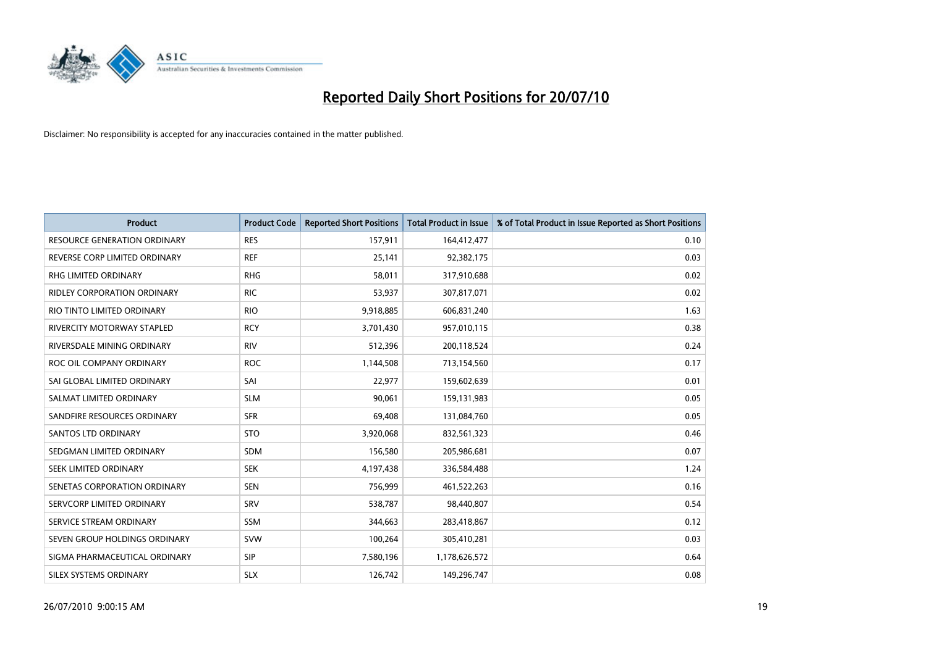

| <b>Product</b>                      | <b>Product Code</b> | <b>Reported Short Positions</b> | <b>Total Product in Issue</b> | % of Total Product in Issue Reported as Short Positions |
|-------------------------------------|---------------------|---------------------------------|-------------------------------|---------------------------------------------------------|
| <b>RESOURCE GENERATION ORDINARY</b> | <b>RES</b>          | 157,911                         | 164,412,477                   | 0.10                                                    |
| REVERSE CORP LIMITED ORDINARY       | <b>REF</b>          | 25,141                          | 92,382,175                    | 0.03                                                    |
| <b>RHG LIMITED ORDINARY</b>         | <b>RHG</b>          | 58.011                          | 317,910,688                   | 0.02                                                    |
| RIDLEY CORPORATION ORDINARY         | <b>RIC</b>          | 53,937                          | 307,817,071                   | 0.02                                                    |
| RIO TINTO LIMITED ORDINARY          | <b>RIO</b>          | 9,918,885                       | 606,831,240                   | 1.63                                                    |
| <b>RIVERCITY MOTORWAY STAPLED</b>   | <b>RCY</b>          | 3,701,430                       | 957,010,115                   | 0.38                                                    |
| RIVERSDALE MINING ORDINARY          | <b>RIV</b>          | 512,396                         | 200,118,524                   | 0.24                                                    |
| ROC OIL COMPANY ORDINARY            | <b>ROC</b>          | 1,144,508                       | 713,154,560                   | 0.17                                                    |
| SAI GLOBAL LIMITED ORDINARY         | SAI                 | 22,977                          | 159,602,639                   | 0.01                                                    |
| SALMAT LIMITED ORDINARY             | <b>SLM</b>          | 90,061                          | 159,131,983                   | 0.05                                                    |
| SANDFIRE RESOURCES ORDINARY         | <b>SFR</b>          | 69,408                          | 131,084,760                   | 0.05                                                    |
| <b>SANTOS LTD ORDINARY</b>          | <b>STO</b>          | 3,920,068                       | 832,561,323                   | 0.46                                                    |
| SEDGMAN LIMITED ORDINARY            | <b>SDM</b>          | 156,580                         | 205,986,681                   | 0.07                                                    |
| SEEK LIMITED ORDINARY               | <b>SEK</b>          | 4,197,438                       | 336,584,488                   | 1.24                                                    |
| SENETAS CORPORATION ORDINARY        | <b>SEN</b>          | 756,999                         | 461,522,263                   | 0.16                                                    |
| SERVCORP LIMITED ORDINARY           | SRV                 | 538,787                         | 98,440,807                    | 0.54                                                    |
| SERVICE STREAM ORDINARY             | <b>SSM</b>          | 344,663                         | 283,418,867                   | 0.12                                                    |
| SEVEN GROUP HOLDINGS ORDINARY       | <b>SVW</b>          | 100,264                         | 305,410,281                   | 0.03                                                    |
| SIGMA PHARMACEUTICAL ORDINARY       | <b>SIP</b>          | 7,580,196                       | 1,178,626,572                 | 0.64                                                    |
| SILEX SYSTEMS ORDINARY              | <b>SLX</b>          | 126,742                         | 149,296,747                   | 0.08                                                    |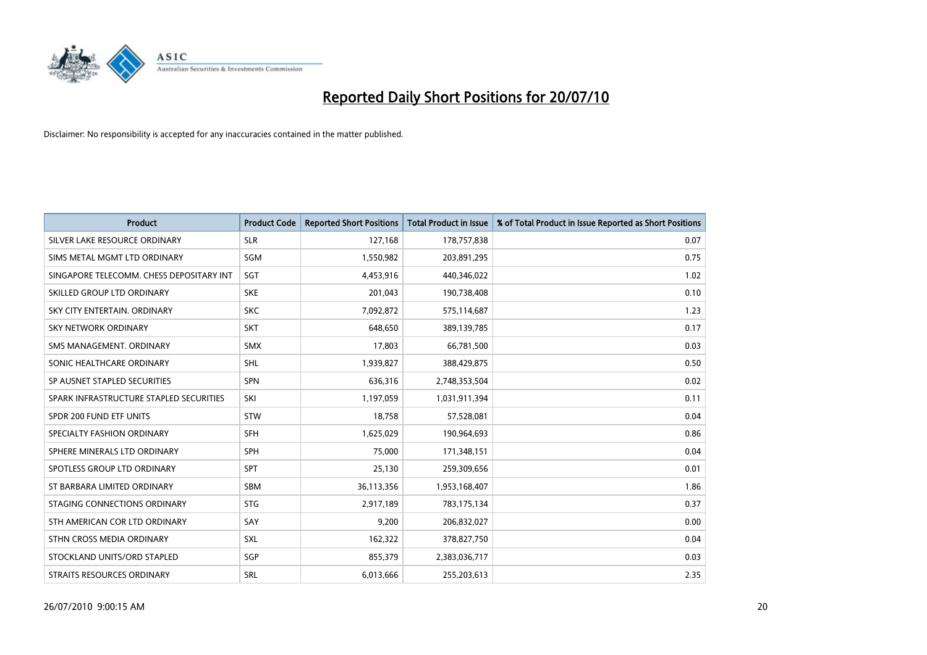

| <b>Product</b>                           | <b>Product Code</b> | <b>Reported Short Positions</b> | <b>Total Product in Issue</b> | % of Total Product in Issue Reported as Short Positions |
|------------------------------------------|---------------------|---------------------------------|-------------------------------|---------------------------------------------------------|
| SILVER LAKE RESOURCE ORDINARY            | <b>SLR</b>          | 127,168                         | 178,757,838                   | 0.07                                                    |
| SIMS METAL MGMT LTD ORDINARY             | SGM                 | 1,550,982                       | 203,891,295                   | 0.75                                                    |
| SINGAPORE TELECOMM. CHESS DEPOSITARY INT | SGT                 | 4,453,916                       | 440,346,022                   | 1.02                                                    |
| SKILLED GROUP LTD ORDINARY               | <b>SKE</b>          | 201,043                         | 190,738,408                   | 0.10                                                    |
| SKY CITY ENTERTAIN, ORDINARY             | <b>SKC</b>          | 7,092,872                       | 575,114,687                   | 1.23                                                    |
| <b>SKY NETWORK ORDINARY</b>              | <b>SKT</b>          | 648.650                         | 389,139,785                   | 0.17                                                    |
| SMS MANAGEMENT, ORDINARY                 | <b>SMX</b>          | 17,803                          | 66,781,500                    | 0.03                                                    |
| SONIC HEALTHCARE ORDINARY                | <b>SHL</b>          | 1,939,827                       | 388,429,875                   | 0.50                                                    |
| SP AUSNET STAPLED SECURITIES             | SPN                 | 636,316                         | 2,748,353,504                 | 0.02                                                    |
| SPARK INFRASTRUCTURE STAPLED SECURITIES  | SKI                 | 1,197,059                       | 1,031,911,394                 | 0.11                                                    |
| SPDR 200 FUND ETF UNITS                  | <b>STW</b>          | 18,758                          | 57,528,081                    | 0.04                                                    |
| SPECIALTY FASHION ORDINARY               | <b>SFH</b>          | 1,625,029                       | 190,964,693                   | 0.86                                                    |
| SPHERE MINERALS LTD ORDINARY             | <b>SPH</b>          | 75,000                          | 171,348,151                   | 0.04                                                    |
| SPOTLESS GROUP LTD ORDINARY              | SPT                 | 25,130                          | 259,309,656                   | 0.01                                                    |
| ST BARBARA LIMITED ORDINARY              | <b>SBM</b>          | 36,113,356                      | 1,953,168,407                 | 1.86                                                    |
| STAGING CONNECTIONS ORDINARY             | <b>STG</b>          | 2,917,189                       | 783,175,134                   | 0.37                                                    |
| STH AMERICAN COR LTD ORDINARY            | SAY                 | 9,200                           | 206,832,027                   | 0.00                                                    |
| STHN CROSS MEDIA ORDINARY                | <b>SXL</b>          | 162,322                         | 378,827,750                   | 0.04                                                    |
| STOCKLAND UNITS/ORD STAPLED              | SGP                 | 855,379                         | 2,383,036,717                 | 0.03                                                    |
| STRAITS RESOURCES ORDINARY               | SRL                 | 6,013,666                       | 255,203,613                   | 2.35                                                    |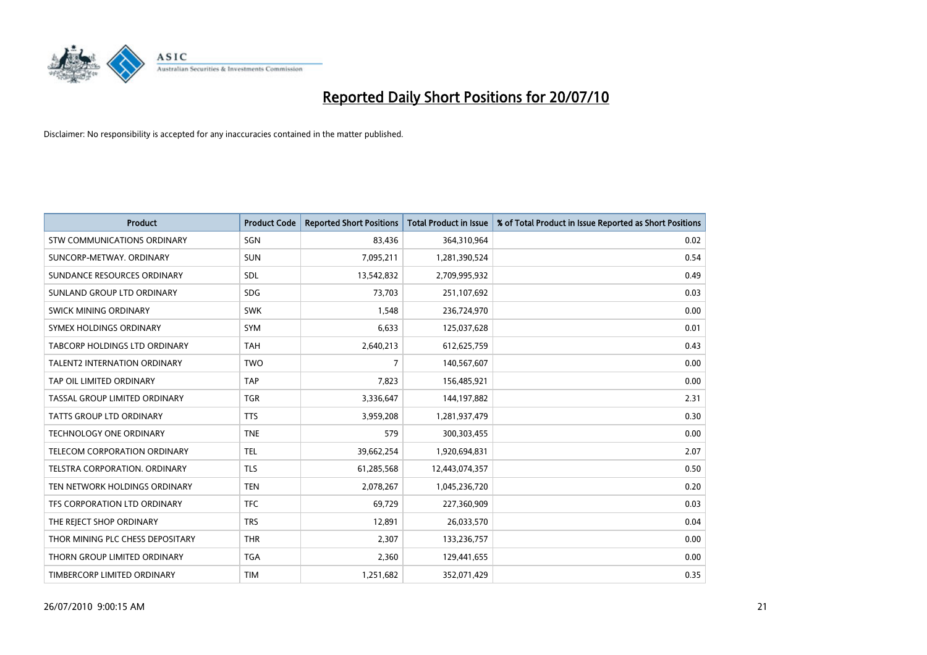

| <b>Product</b>                       | <b>Product Code</b> | <b>Reported Short Positions</b> | <b>Total Product in Issue</b> | % of Total Product in Issue Reported as Short Positions |
|--------------------------------------|---------------------|---------------------------------|-------------------------------|---------------------------------------------------------|
| <b>STW COMMUNICATIONS ORDINARY</b>   | SGN                 | 83,436                          | 364,310,964                   | 0.02                                                    |
| SUNCORP-METWAY, ORDINARY             | <b>SUN</b>          | 7,095,211                       | 1,281,390,524                 | 0.54                                                    |
| SUNDANCE RESOURCES ORDINARY          | <b>SDL</b>          | 13,542,832                      | 2,709,995,932                 | 0.49                                                    |
| SUNLAND GROUP LTD ORDINARY           | <b>SDG</b>          | 73,703                          | 251,107,692                   | 0.03                                                    |
| SWICK MINING ORDINARY                | <b>SWK</b>          | 1,548                           | 236,724,970                   | 0.00                                                    |
| SYMEX HOLDINGS ORDINARY              | SYM                 | 6,633                           | 125,037,628                   | 0.01                                                    |
| <b>TABCORP HOLDINGS LTD ORDINARY</b> | <b>TAH</b>          | 2,640,213                       | 612,625,759                   | 0.43                                                    |
| <b>TALENT2 INTERNATION ORDINARY</b>  | <b>TWO</b>          | $\overline{7}$                  | 140,567,607                   | 0.00                                                    |
| TAP OIL LIMITED ORDINARY             | <b>TAP</b>          | 7,823                           | 156,485,921                   | 0.00                                                    |
| TASSAL GROUP LIMITED ORDINARY        | <b>TGR</b>          | 3,336,647                       | 144,197,882                   | 2.31                                                    |
| <b>TATTS GROUP LTD ORDINARY</b>      | <b>TTS</b>          | 3,959,208                       | 1,281,937,479                 | 0.30                                                    |
| <b>TECHNOLOGY ONE ORDINARY</b>       | <b>TNE</b>          | 579                             | 300,303,455                   | 0.00                                                    |
| TELECOM CORPORATION ORDINARY         | <b>TEL</b>          | 39,662,254                      | 1,920,694,831                 | 2.07                                                    |
| TELSTRA CORPORATION, ORDINARY        | <b>TLS</b>          | 61,285,568                      | 12,443,074,357                | 0.50                                                    |
| TEN NETWORK HOLDINGS ORDINARY        | <b>TEN</b>          | 2,078,267                       | 1,045,236,720                 | 0.20                                                    |
| TFS CORPORATION LTD ORDINARY         | <b>TFC</b>          | 69,729                          | 227,360,909                   | 0.03                                                    |
| THE REJECT SHOP ORDINARY             | <b>TRS</b>          | 12,891                          | 26,033,570                    | 0.04                                                    |
| THOR MINING PLC CHESS DEPOSITARY     | <b>THR</b>          | 2,307                           | 133,236,757                   | 0.00                                                    |
| THORN GROUP LIMITED ORDINARY         | <b>TGA</b>          | 2,360                           | 129,441,655                   | 0.00                                                    |
| TIMBERCORP LIMITED ORDINARY          | <b>TIM</b>          | 1,251,682                       | 352,071,429                   | 0.35                                                    |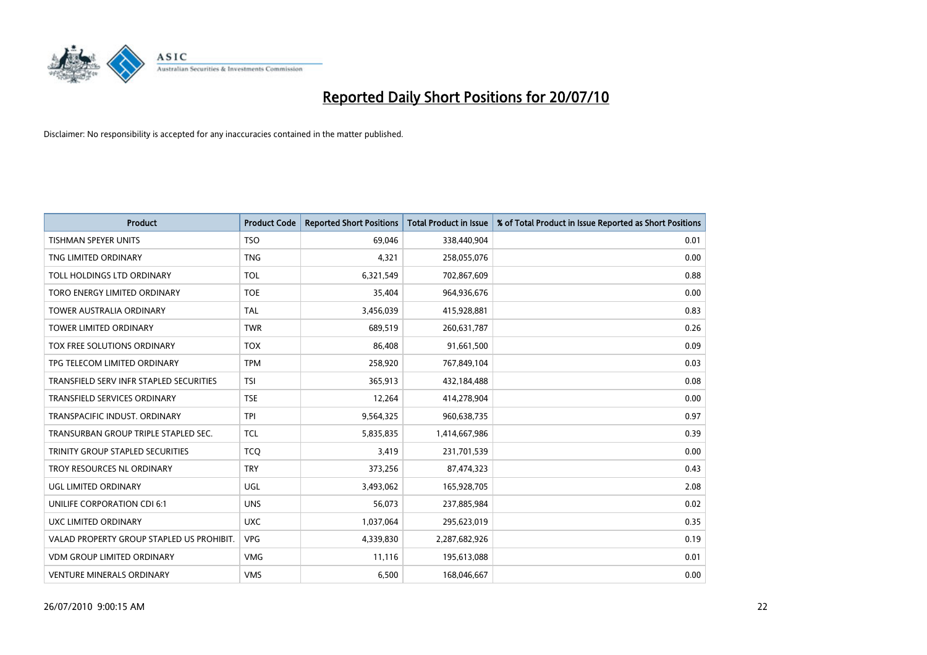

| <b>Product</b>                            | <b>Product Code</b> | <b>Reported Short Positions</b> | <b>Total Product in Issue</b> | % of Total Product in Issue Reported as Short Positions |
|-------------------------------------------|---------------------|---------------------------------|-------------------------------|---------------------------------------------------------|
| <b>TISHMAN SPEYER UNITS</b>               | <b>TSO</b>          | 69,046                          | 338,440,904                   | 0.01                                                    |
| TNG LIMITED ORDINARY                      | <b>TNG</b>          | 4,321                           | 258,055,076                   | 0.00                                                    |
| TOLL HOLDINGS LTD ORDINARY                | <b>TOL</b>          | 6,321,549                       | 702,867,609                   | 0.88                                                    |
| TORO ENERGY LIMITED ORDINARY              | <b>TOE</b>          | 35,404                          | 964,936,676                   | 0.00                                                    |
| <b>TOWER AUSTRALIA ORDINARY</b>           | <b>TAL</b>          | 3,456,039                       | 415,928,881                   | 0.83                                                    |
| <b>TOWER LIMITED ORDINARY</b>             | <b>TWR</b>          | 689,519                         | 260,631,787                   | 0.26                                                    |
| TOX FREE SOLUTIONS ORDINARY               | <b>TOX</b>          | 86,408                          | 91,661,500                    | 0.09                                                    |
| TPG TELECOM LIMITED ORDINARY              | <b>TPM</b>          | 258,920                         | 767,849,104                   | 0.03                                                    |
| TRANSFIELD SERV INFR STAPLED SECURITIES   | <b>TSI</b>          | 365,913                         | 432,184,488                   | 0.08                                                    |
| <b>TRANSFIELD SERVICES ORDINARY</b>       | <b>TSE</b>          | 12,264                          | 414,278,904                   | 0.00                                                    |
| TRANSPACIFIC INDUST. ORDINARY             | <b>TPI</b>          | 9,564,325                       | 960,638,735                   | 0.97                                                    |
| TRANSURBAN GROUP TRIPLE STAPLED SEC.      | <b>TCL</b>          | 5,835,835                       | 1,414,667,986                 | 0.39                                                    |
| TRINITY GROUP STAPLED SECURITIES          | <b>TCQ</b>          | 3,419                           | 231,701,539                   | 0.00                                                    |
| TROY RESOURCES NL ORDINARY                | <b>TRY</b>          | 373,256                         | 87,474,323                    | 0.43                                                    |
| UGL LIMITED ORDINARY                      | UGL                 | 3,493,062                       | 165,928,705                   | 2.08                                                    |
| UNILIFE CORPORATION CDI 6:1               | <b>UNS</b>          | 56,073                          | 237,885,984                   | 0.02                                                    |
| UXC LIMITED ORDINARY                      | <b>UXC</b>          | 1,037,064                       | 295,623,019                   | 0.35                                                    |
| VALAD PROPERTY GROUP STAPLED US PROHIBIT. | <b>VPG</b>          | 4,339,830                       | 2,287,682,926                 | 0.19                                                    |
| <b>VDM GROUP LIMITED ORDINARY</b>         | <b>VMG</b>          | 11,116                          | 195,613,088                   | 0.01                                                    |
| <b>VENTURE MINERALS ORDINARY</b>          | <b>VMS</b>          | 6,500                           | 168,046,667                   | 0.00                                                    |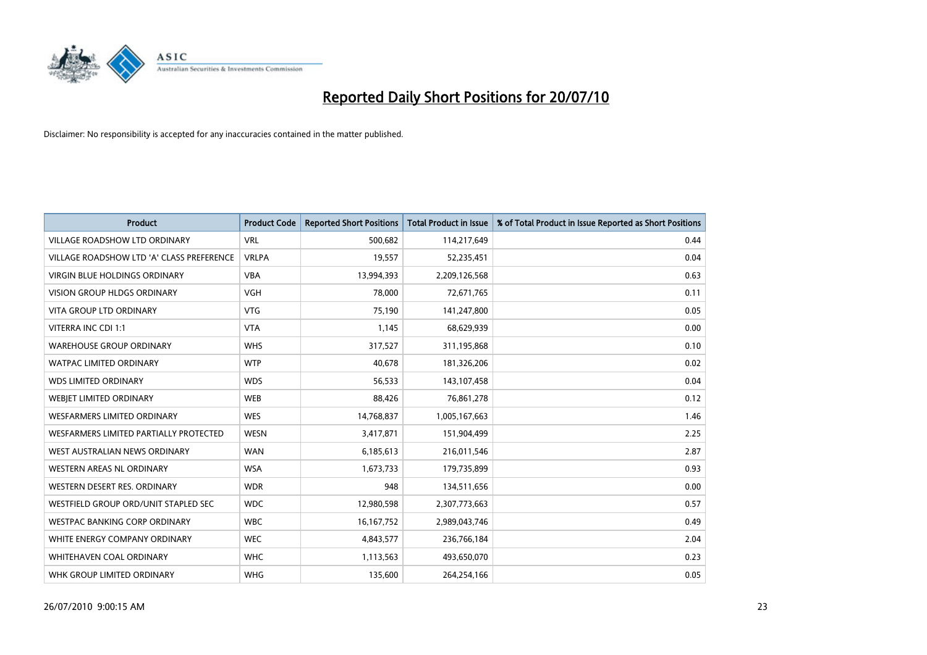

| <b>Product</b>                            | <b>Product Code</b> | <b>Reported Short Positions</b> | <b>Total Product in Issue</b> | % of Total Product in Issue Reported as Short Positions |
|-------------------------------------------|---------------------|---------------------------------|-------------------------------|---------------------------------------------------------|
| <b>VILLAGE ROADSHOW LTD ORDINARY</b>      | <b>VRL</b>          | 500,682                         | 114,217,649                   | 0.44                                                    |
| VILLAGE ROADSHOW LTD 'A' CLASS PREFERENCE | <b>VRLPA</b>        | 19,557                          | 52,235,451                    | 0.04                                                    |
| <b>VIRGIN BLUE HOLDINGS ORDINARY</b>      | <b>VBA</b>          | 13,994,393                      | 2,209,126,568                 | 0.63                                                    |
| VISION GROUP HLDGS ORDINARY               | <b>VGH</b>          | 78,000                          | 72,671,765                    | 0.11                                                    |
| <b>VITA GROUP LTD ORDINARY</b>            | <b>VTG</b>          | 75,190                          | 141,247,800                   | 0.05                                                    |
| VITERRA INC CDI 1:1                       | <b>VTA</b>          | 1,145                           | 68,629,939                    | 0.00                                                    |
| <b>WAREHOUSE GROUP ORDINARY</b>           | <b>WHS</b>          | 317,527                         | 311,195,868                   | 0.10                                                    |
| WATPAC LIMITED ORDINARY                   | <b>WTP</b>          | 40,678                          | 181,326,206                   | 0.02                                                    |
| <b>WDS LIMITED ORDINARY</b>               | <b>WDS</b>          | 56,533                          | 143,107,458                   | 0.04                                                    |
| WEBJET LIMITED ORDINARY                   | <b>WEB</b>          | 88,426                          | 76,861,278                    | 0.12                                                    |
| WESFARMERS LIMITED ORDINARY               | <b>WES</b>          | 14,768,837                      | 1,005,167,663                 | 1.46                                                    |
| WESFARMERS LIMITED PARTIALLY PROTECTED    | <b>WESN</b>         | 3,417,871                       | 151,904,499                   | 2.25                                                    |
| WEST AUSTRALIAN NEWS ORDINARY             | <b>WAN</b>          | 6,185,613                       | 216,011,546                   | 2.87                                                    |
| WESTERN AREAS NL ORDINARY                 | <b>WSA</b>          | 1,673,733                       | 179,735,899                   | 0.93                                                    |
| WESTERN DESERT RES. ORDINARY              | <b>WDR</b>          | 948                             | 134,511,656                   | 0.00                                                    |
| WESTFIELD GROUP ORD/UNIT STAPLED SEC      | <b>WDC</b>          | 12,980,598                      | 2,307,773,663                 | 0.57                                                    |
| WESTPAC BANKING CORP ORDINARY             | <b>WBC</b>          | 16, 167, 752                    | 2,989,043,746                 | 0.49                                                    |
| WHITE ENERGY COMPANY ORDINARY             | <b>WEC</b>          | 4,843,577                       | 236,766,184                   | 2.04                                                    |
| WHITEHAVEN COAL ORDINARY                  | <b>WHC</b>          | 1,113,563                       | 493,650,070                   | 0.23                                                    |
| WHK GROUP LIMITED ORDINARY                | <b>WHG</b>          | 135,600                         | 264,254,166                   | 0.05                                                    |